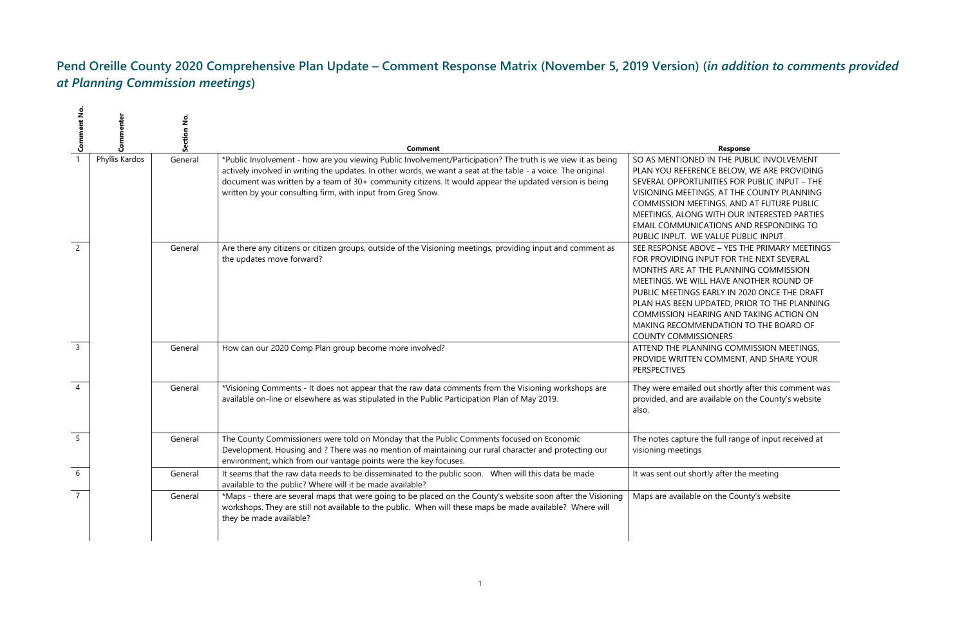# **Pend Oreille County 2020 Comprehensive Plan Update – Comment Response Matrix (November 5, 2019 Version) (***in addition to comments provided at Planning Commission meetings***)**

#### **Comment Response**

N THE PUBLIC INVOLVEMENT **E BELOW, WE ARE PROVIDING** ITIES FOR PUBLIC INPUT – THE S, AT THE COUNTY PLANNING NGS, AND AT FUTURE PUBLIC VITH OUR INTERESTED PARTIES TIONS AND RESPONDING TO ALUE PUBLIC INPUT. **E** – YES THE PRIMARY MEETINGS UT FOR THE NEXT SEVERAL **PLANNING COMMISSION** HAVE ANOTHER ROUND OF RLY IN 2020 ONCE THE DRAFT ATED, PRIOR TO THE PLANNING NG AND TAKING ACTION ON **NDATION TO THE BOARD OF** DNERS

**ING COMMISSION MEETINGS,** OMMENT, AND SHARE YOUR

ut shortly after this comment was ailable on the County's website

e full range of input received at

If after the meeting

If the County's website

| $\rightarrow$ Comment No. |                | <u>ខ</u><br>Section | Comment                                                                                                                                                                                                                                                                                                                                                                                                |                                                                                                                                                                                                                  |
|---------------------------|----------------|---------------------|--------------------------------------------------------------------------------------------------------------------------------------------------------------------------------------------------------------------------------------------------------------------------------------------------------------------------------------------------------------------------------------------------------|------------------------------------------------------------------------------------------------------------------------------------------------------------------------------------------------------------------|
|                           | Phyllis Kardos | General             | *Public Involvement - how are you viewing Public Involvement/Participation? The truth is we view it as being<br>actively involved in writing the updates. In other words, we want a seat at the table - a voice. The original<br>document was written by a team of 30+ community citizens. It would appear the updated version is being<br>written by your consulting firm, with input from Greg Snow. | SO AS MENTIONED IN<br>PLAN YOU REFERENC<br>SEVERAL OPPORTUNI<br><b>VISIONING MEETINGS</b><br><b>COMMISSION MEETIN</b><br>MEETINGS, ALONG W<br><b>EMAIL COMMUNICAT</b><br>PUBLIC INPUT. WE V/                     |
| $\overline{\phantom{0}}$  |                | General             | Are there any citizens or citizen groups, outside of the Visioning meetings, providing input and comment as<br>the updates move forward?                                                                                                                                                                                                                                                               | SEE RESPONSE ABOV<br>FOR PROVIDING INPL<br>MONTHS ARE AT THE<br>MEETINGS. WE WILL I<br>PUBLIC MEETINGS EA<br>PLAN HAS BEEN UPD.<br><b>COMMISSION HEARIN</b><br><b>MAKING RECOMMEN</b><br><b>COUNTY COMMISSIC</b> |
| $\overline{3}$            |                | General             | How can our 2020 Comp Plan group become more involved?                                                                                                                                                                                                                                                                                                                                                 | <b>ATTEND THE PLANNII</b><br>PROVIDE WRITTEN CO<br><b>PERSPECTIVES</b>                                                                                                                                           |
| $\overline{4}$            |                | General             | *Visioning Comments - It does not appear that the raw data comments from the Visioning workshops are<br>available on-line or elsewhere as was stipulated in the Public Participation Plan of May 2019.                                                                                                                                                                                                 | They were emailed ou<br>provided, and are ava<br>also.                                                                                                                                                           |
| 5                         |                | General             | The County Commissioners were told on Monday that the Public Comments focused on Economic<br>Development, Housing and ? There was no mention of maintaining our rural character and protecting our<br>environment, which from our vantage points were the key focuses.                                                                                                                                 | The notes capture the<br>visioning meetings                                                                                                                                                                      |
| 6                         |                | General             | It seems that the raw data needs to be disseminated to the public soon. When will this data be made<br>available to the public? Where will it be made available?                                                                                                                                                                                                                                       | It was sent out shortly                                                                                                                                                                                          |
| $\overline{7}$            |                | General             | *Maps - there are several maps that were going to be placed on the County's website soon after the Visioning<br>workshops. They are still not available to the public. When will these maps be made available? Where will<br>they be made available?                                                                                                                                                   | Maps are available on                                                                                                                                                                                            |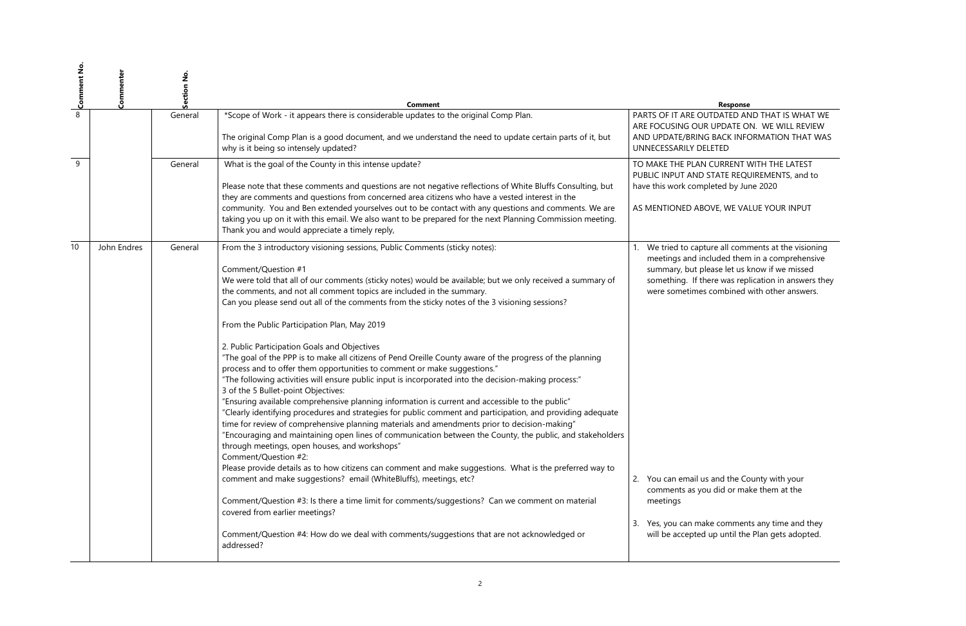JTDATED AND THAT IS WHAT WE **UPDATE ON. WE WILL REVIEW BACK INFORMATION THAT WAS** LETED

CURRENT WITH THE LATEST STATE REQUIREMENTS, and to have 2020 by June 2020

OVE, WE VALUE YOUR INPUT

ure all comments at the visioning cluded them in a comprehensive lease let us know if we missed ere was replication in answers they combined with other answers.

s and the County with your u did or make them at the

ke comments any time and they up until the Plan gets adopted.

| $\infty$ Comment No. | Commenter   | Section No. | <b>Comment</b>                                                                                                                                                                                                                                                                                                                                                                                                                                                                                                                                                                                                                                                                                                                                                                                                                                                                                                                                                                                                                                                                                                                                                                                                                                                                                                                                                                                                                                                                                                                                                                                                                                                     |                                                                                                                                                                                                 |
|----------------------|-------------|-------------|--------------------------------------------------------------------------------------------------------------------------------------------------------------------------------------------------------------------------------------------------------------------------------------------------------------------------------------------------------------------------------------------------------------------------------------------------------------------------------------------------------------------------------------------------------------------------------------------------------------------------------------------------------------------------------------------------------------------------------------------------------------------------------------------------------------------------------------------------------------------------------------------------------------------------------------------------------------------------------------------------------------------------------------------------------------------------------------------------------------------------------------------------------------------------------------------------------------------------------------------------------------------------------------------------------------------------------------------------------------------------------------------------------------------------------------------------------------------------------------------------------------------------------------------------------------------------------------------------------------------------------------------------------------------|-------------------------------------------------------------------------------------------------------------------------------------------------------------------------------------------------|
|                      |             | General     | *Scope of Work - it appears there is considerable updates to the original Comp Plan.<br>The original Comp Plan is a good document, and we understand the need to update certain parts of it, but                                                                                                                                                                                                                                                                                                                                                                                                                                                                                                                                                                                                                                                                                                                                                                                                                                                                                                                                                                                                                                                                                                                                                                                                                                                                                                                                                                                                                                                                   | PARTS OF IT ARE OU<br>ARE FOCUSING OUR<br>AND UPDATE/BRING                                                                                                                                      |
| 9                    |             | General     | why is it being so intensely updated?<br>What is the goal of the County in this intense update?                                                                                                                                                                                                                                                                                                                                                                                                                                                                                                                                                                                                                                                                                                                                                                                                                                                                                                                                                                                                                                                                                                                                                                                                                                                                                                                                                                                                                                                                                                                                                                    | UNNECESSARILY DEL<br>TO MAKE THE PLAN                                                                                                                                                           |
|                      |             |             | Please note that these comments and questions are not negative reflections of White Bluffs Consulting, but<br>they are comments and questions from concerned area citizens who have a vested interest in the                                                                                                                                                                                                                                                                                                                                                                                                                                                                                                                                                                                                                                                                                                                                                                                                                                                                                                                                                                                                                                                                                                                                                                                                                                                                                                                                                                                                                                                       | PUBLIC INPUT AND 9<br>have this work comp                                                                                                                                                       |
|                      |             |             | community. You and Ben extended yourselves out to be contact with any questions and comments. We are<br>taking you up on it with this email. We also want to be prepared for the next Planning Commission meeting.<br>Thank you and would appreciate a timely reply,                                                                                                                                                                                                                                                                                                                                                                                                                                                                                                                                                                                                                                                                                                                                                                                                                                                                                                                                                                                                                                                                                                                                                                                                                                                                                                                                                                                               | AS MENTIONED ABC                                                                                                                                                                                |
| 10                   | John Endres | General     | From the 3 introductory visioning sessions, Public Comments (sticky notes):<br>Comment/Question #1<br>We were told that all of our comments (sticky notes) would be available; but we only received a summary of<br>the comments, and not all comment topics are included in the summary.<br>Can you please send out all of the comments from the sticky notes of the 3 visioning sessions?<br>From the Public Participation Plan, May 2019<br>2. Public Participation Goals and Objectives<br>"The goal of the PPP is to make all citizens of Pend Oreille County aware of the progress of the planning<br>process and to offer them opportunities to comment or make suggestions."<br>"The following activities will ensure public input is incorporated into the decision-making process:"<br>3 of the 5 Bullet-point Objectives:<br>"Ensuring available comprehensive planning information is current and accessible to the public"<br>"Clearly identifying procedures and strategies for public comment and participation, and providing adequate<br>time for review of comprehensive planning materials and amendments prior to decision-making"<br>"Encouraging and maintaining open lines of communication between the County, the public, and stakeholders<br>through meetings, open houses, and workshops"<br>Comment/Question #2:<br>Please provide details as to how citizens can comment and make suggestions. What is the preferred way to<br>comment and make suggestions? email (WhiteBluffs), meetings, etc?<br>Comment/Question #3: Is there a time limit for comments/suggestions? Can we comment on material<br>covered from earlier meetings? | We tried to captu<br>$1_{\cdot}$<br>meetings and inc<br>summary, but ple<br>something. If the<br>were sometimes<br>You can email us<br>2.<br>comments as you<br>meetings<br>3. Yes, you can mak |
|                      |             |             | Comment/Question #4: How do we deal with comments/suggestions that are not acknowledged or<br>addressed?                                                                                                                                                                                                                                                                                                                                                                                                                                                                                                                                                                                                                                                                                                                                                                                                                                                                                                                                                                                                                                                                                                                                                                                                                                                                                                                                                                                                                                                                                                                                                           | will be accepted                                                                                                                                                                                |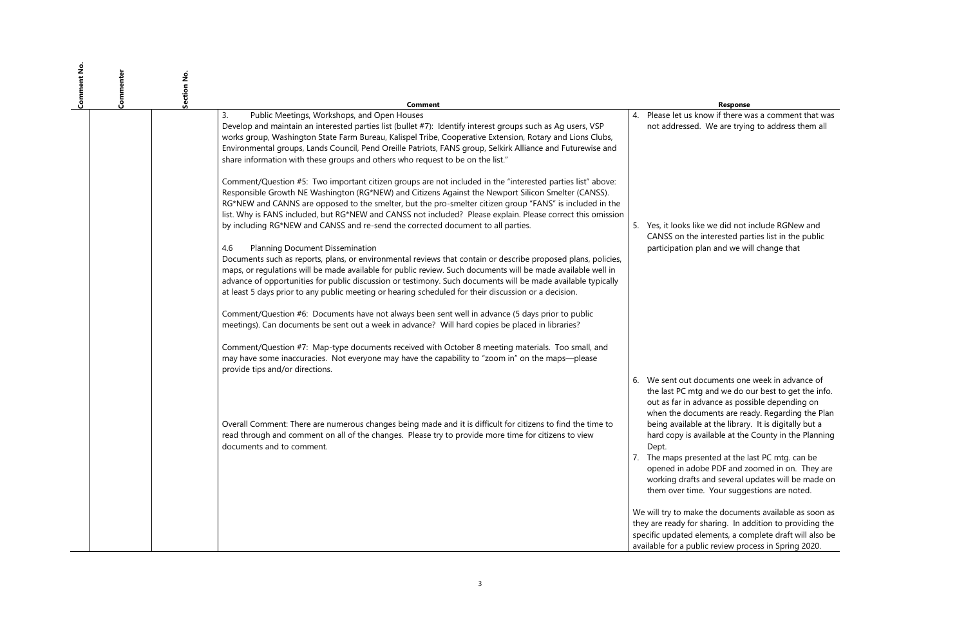## $u$  if there was a comment that was e are trying to address them all

e did not include RGNew and erested parties list in the public and we will change that

ments one week in advance of the we do our best to get the info. nce as possible depending on nts are ready. Regarding the Plan the library. It is digitally but a able at the County in the Planning

ed at the last PC mtg. can be PDF and zoomed in on. They are d several updates will be made on Your suggestions are noted.

e documents available as soon as ring. In addition to providing the ents, a complete draft will also be review process in Spring 2020.

| Comment No | Commenter<br>å |                                                                                                                                                                                                                                                                                                                                                                                                                                                                                                                                  |    |                                                                                                                                                                                                                                          |
|------------|----------------|----------------------------------------------------------------------------------------------------------------------------------------------------------------------------------------------------------------------------------------------------------------------------------------------------------------------------------------------------------------------------------------------------------------------------------------------------------------------------------------------------------------------------------|----|------------------------------------------------------------------------------------------------------------------------------------------------------------------------------------------------------------------------------------------|
|            |                | Comment                                                                                                                                                                                                                                                                                                                                                                                                                                                                                                                          |    |                                                                                                                                                                                                                                          |
|            |                | Public Meetings, Workshops, and Open Houses<br>3.<br>Develop and maintain an interested parties list (bullet #7): Identify interest groups such as Ag users, VSP<br>works group, Washington State Farm Bureau, Kalispel Tribe, Cooperative Extension, Rotary and Lions Clubs,<br>Environmental groups, Lands Council, Pend Oreille Patriots, FANS group, Selkirk Alliance and Futurewise and<br>share information with these groups and others who request to be on the list."                                                   | 4. | Please let us know<br>not addressed. We                                                                                                                                                                                                  |
|            |                | Comment/Question #5: Two important citizen groups are not included in the "interested parties list" above:<br>Responsible Growth NE Washington (RG*NEW) and Citizens Against the Newport Silicon Smelter (CANSS).<br>RG*NEW and CANNS are opposed to the smelter, but the pro-smelter citizen group "FANS" is included in the<br>list. Why is FANS included, but RG*NEW and CANSS not included? Please explain. Please correct this omission<br>by including RG*NEW and CANSS and re-send the corrected document to all parties. |    | 5. Yes, it looks like we<br>CANSS on the inter                                                                                                                                                                                           |
|            |                | 4.6<br>Planning Document Dissemination<br>Documents such as reports, plans, or environmental reviews that contain or describe proposed plans, policies,<br>maps, or regulations will be made available for public review. Such documents will be made available well in<br>advance of opportunities for public discussion or testimony. Such documents will be made available typically<br>at least 5 days prior to any public meeting or hearing scheduled for their discussion or a decision.                                  |    | participation plan a                                                                                                                                                                                                                     |
|            |                | Comment/Question #6: Documents have not always been sent well in advance (5 days prior to public<br>meetings). Can documents be sent out a week in advance? Will hard copies be placed in libraries?                                                                                                                                                                                                                                                                                                                             |    |                                                                                                                                                                                                                                          |
|            |                | Comment/Question #7: Map-type documents received with October 8 meeting materials. Too small, and<br>may have some inaccuracies. Not everyone may have the capability to "zoom in" on the maps-please<br>provide tips and/or directions.                                                                                                                                                                                                                                                                                         |    |                                                                                                                                                                                                                                          |
|            |                | Overall Comment: There are numerous changes being made and it is difficult for citizens to find the time to<br>read through and comment on all of the changes. Please try to provide more time for citizens to view<br>documents and to comment.                                                                                                                                                                                                                                                                                 |    | 6. We sent out docun<br>the last PC mtg and<br>out as far in advan<br>when the documer<br>being available at t<br>hard copy is availal<br>Dept.<br>7. The maps presente<br>opened in adobe P<br>working drafts and<br>them over time. Yo |
|            |                |                                                                                                                                                                                                                                                                                                                                                                                                                                                                                                                                  |    | We will try to make the<br>they are ready for shar<br>specific updated eleme<br>available for a public re                                                                                                                                |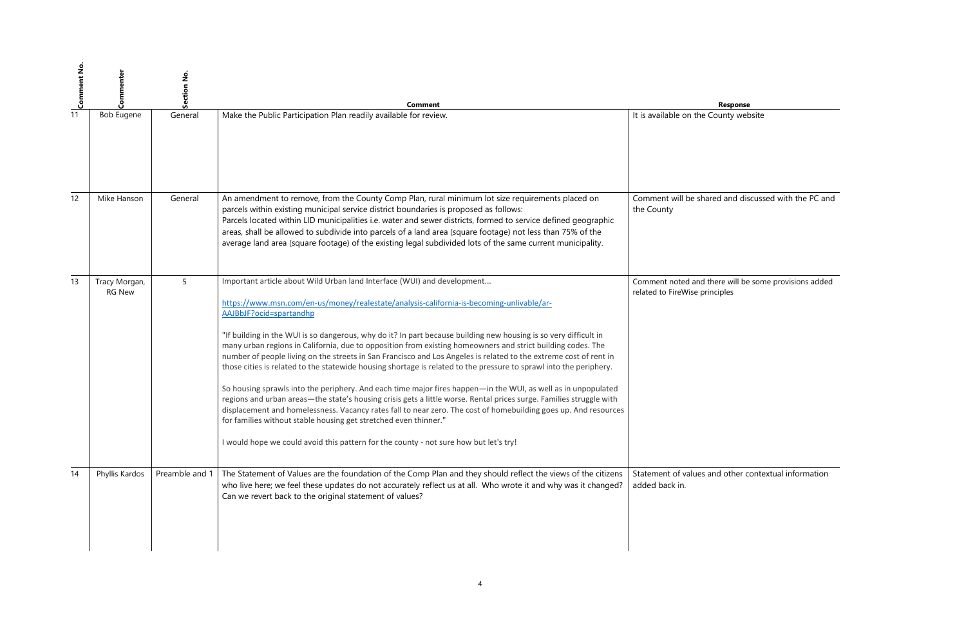$\overline{\text{A}}$  and discussed with the PC and

there will be some provisions added inciples

and other contextual information

| $\frac{1}{\sqrt{2}}$ Comment No. |                                | Section No     | <b>Comment</b>                                                                                                                                                                                                                                                                                                                                                                                                                                                                                                                                                                                                                                                                                                                                                                                                                                                                                                                                                                                                                                                                                                                                                                                       | Response                                                              |
|----------------------------------|--------------------------------|----------------|------------------------------------------------------------------------------------------------------------------------------------------------------------------------------------------------------------------------------------------------------------------------------------------------------------------------------------------------------------------------------------------------------------------------------------------------------------------------------------------------------------------------------------------------------------------------------------------------------------------------------------------------------------------------------------------------------------------------------------------------------------------------------------------------------------------------------------------------------------------------------------------------------------------------------------------------------------------------------------------------------------------------------------------------------------------------------------------------------------------------------------------------------------------------------------------------------|-----------------------------------------------------------------------|
|                                  | <b>Bob Eugene</b>              | General        | Make the Public Participation Plan readily available for review.                                                                                                                                                                                                                                                                                                                                                                                                                                                                                                                                                                                                                                                                                                                                                                                                                                                                                                                                                                                                                                                                                                                                     | It is available on the County website                                 |
|                                  |                                |                |                                                                                                                                                                                                                                                                                                                                                                                                                                                                                                                                                                                                                                                                                                                                                                                                                                                                                                                                                                                                                                                                                                                                                                                                      |                                                                       |
| 12                               | Mike Hanson                    | General        | An amendment to remove, from the County Comp Plan, rural minimum lot size requirements placed on<br>parcels within existing municipal service district boundaries is proposed as follows:<br>Parcels located within LID municipalities i.e. water and sewer districts, formed to service defined geographic<br>areas, shall be allowed to subdivide into parcels of a land area (square footage) not less than 75% of the<br>average land area (square footage) of the existing legal subdivided lots of the same current municipality.                                                                                                                                                                                                                                                                                                                                                                                                                                                                                                                                                                                                                                                              | Comment will be shared and discuss<br>the County                      |
| 13                               | Tracy Morgan,<br><b>RG New</b> | 5              | Important article about Wild Urban land Interface (WUI) and development<br>https://www.msn.com/en-us/money/realestate/analysis-california-is-becoming-unlivable/ar-<br>AAJBbJF?ocid=spartandhp<br>"If building in the WUI is so dangerous, why do it? In part because building new housing is so very difficult in<br>many urban regions in California, due to opposition from existing homeowners and strict building codes. The<br>number of people living on the streets in San Francisco and Los Angeles is related to the extreme cost of rent in<br>those cities is related to the statewide housing shortage is related to the pressure to sprawl into the periphery.<br>So housing sprawls into the periphery. And each time major fires happen-in the WUI, as well as in unpopulated<br>regions and urban areas—the state's housing crisis gets a little worse. Rental prices surge. Families struggle with<br>displacement and homelessness. Vacancy rates fall to near zero. The cost of homebuilding goes up. And resources<br>for families without stable housing get stretched even thinner."<br>I would hope we could avoid this pattern for the county - not sure how but let's try! | Comment noted and there will be son<br>related to FireWise principles |
| 14                               | Phyllis Kardos                 | Preamble and 1 | The Statement of Values are the foundation of the Comp Plan and they should reflect the views of the citizens<br>who live here; we feel these updates do not accurately reflect us at all. Who wrote it and why was it changed?<br>Can we revert back to the original statement of values?                                                                                                                                                                                                                                                                                                                                                                                                                                                                                                                                                                                                                                                                                                                                                                                                                                                                                                           | Statement of values and other conte<br>added back in.                 |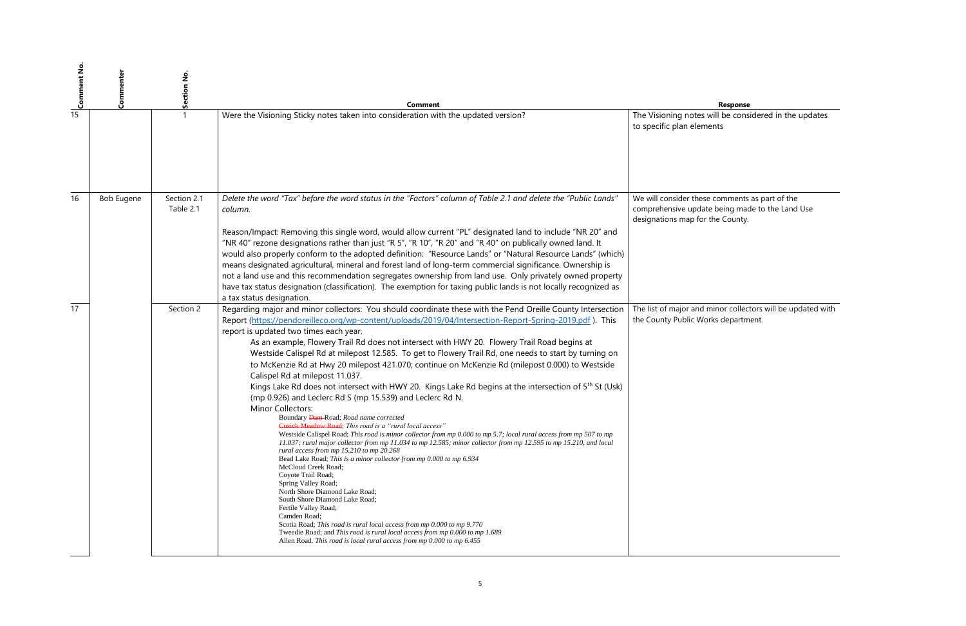will be considered in the updates ents

We will consider these comments as part of the comprehensive update being made to the Land Use the County.

> minor collectors will be updated with orks department.

| $\frac{1}{\sqrt{2}}$ Comment No. | Commenter         | Section No.              | <b>Comment</b>                                                                                                                                                                                                                                                                                                                                                                                                                                                                                                                                                                                                                                                                                                                                                                                                                                                                                                                                                                                                                                                                                                                                                                                                                                                                                                                                                                                                                                                                                                                                                                                                                                                                                                      |                                                                          |
|----------------------------------|-------------------|--------------------------|---------------------------------------------------------------------------------------------------------------------------------------------------------------------------------------------------------------------------------------------------------------------------------------------------------------------------------------------------------------------------------------------------------------------------------------------------------------------------------------------------------------------------------------------------------------------------------------------------------------------------------------------------------------------------------------------------------------------------------------------------------------------------------------------------------------------------------------------------------------------------------------------------------------------------------------------------------------------------------------------------------------------------------------------------------------------------------------------------------------------------------------------------------------------------------------------------------------------------------------------------------------------------------------------------------------------------------------------------------------------------------------------------------------------------------------------------------------------------------------------------------------------------------------------------------------------------------------------------------------------------------------------------------------------------------------------------------------------|--------------------------------------------------------------------------|
|                                  |                   |                          | Were the Visioning Sticky notes taken into consideration with the updated version?                                                                                                                                                                                                                                                                                                                                                                                                                                                                                                                                                                                                                                                                                                                                                                                                                                                                                                                                                                                                                                                                                                                                                                                                                                                                                                                                                                                                                                                                                                                                                                                                                                  | The Visioning notes v<br>to specific plan eleme                          |
| 16                               | <b>Bob Eugene</b> | Section 2.1<br>Table 2.1 | Delete the word "Tax" before the word status in the "Factors" column of Table 2.1 and delete the "Public Lands"<br>column.<br>Reason/Impact: Removing this single word, would allow current "PL" designated land to include "NR 20" and<br>"NR 40" rezone designations rather than just "R 5", "R 10", "R 20" and "R 40" on publically owned land. It<br>would also properly conform to the adopted definition: "Resource Lands" or "Natural Resource Lands" (which)<br>means designated agricultural, mineral and forest land of long-term commercial significance. Ownership is<br>not a land use and this recommendation segregates ownership from land use. Only privately owned property<br>have tax status designation (classification). The exemption for taxing public lands is not locally recognized as<br>a tax status designation.                                                                                                                                                                                                                                                                                                                                                                                                                                                                                                                                                                                                                                                                                                                                                                                                                                                                      | We will consider these<br>comprehensive update<br>designations map for t |
| 17                               |                   | Section 2                | Regarding major and minor collectors: You should coordinate these with the Pend Oreille County Intersection<br>Report (https://pendoreilleco.org/wp-content/uploads/2019/04/Intersection-Report-Spring-2019.pdf). This<br>report is updated two times each year.<br>As an example, Flowery Trail Rd does not intersect with HWY 20. Flowery Trail Road begins at<br>Westside Calispel Rd at milepost 12.585. To get to Flowery Trail Rd, one needs to start by turning on<br>to McKenzie Rd at Hwy 20 milepost 421.070; continue on McKenzie Rd (milepost 0.000) to Westside<br>Calispel Rd at milepost 11.037.<br>Kings Lake Rd does not intersect with HWY 20. Kings Lake Rd begins at the intersection of 5 <sup>th</sup> St (Usk)<br>(mp 0.926) and Leclerc Rd S (mp 15.539) and Leclerc Rd N.<br><b>Minor Collectors:</b><br>Boundary Dam-Road; Road name corrected<br>Cusick Meadow Road; This road is a "rural local access"<br>Westside Calispel Road; This road is minor collector from mp 0.000 to mp 5.7; local rural access from mp 507 to mp<br>11.037; rural major collector from mp 11.034 to mp 12.585; minor collector from mp 12.595 to mp 15.210, and local<br>rural access from mp 15.210 to mp 20.268<br>Bead Lake Road; This is a minor collector from mp 0.000 to mp 6.934<br>McCloud Creek Road;<br>Coyote Trail Road;<br>Spring Valley Road;<br>North Shore Diamond Lake Road;<br>South Shore Diamond Lake Road;<br>Fertile Valley Road;<br>Camden Road;<br>Scotia Road; This road is rural local access from mp 0.000 to mp 9.770<br>Tweedie Road; and This road is rural local access from mp 0.000 to mp 1.689<br>Allen Road. This road is local rural access from mp 0.000 to mp 6.455 | The list of major and n<br>the County Public Wor                         |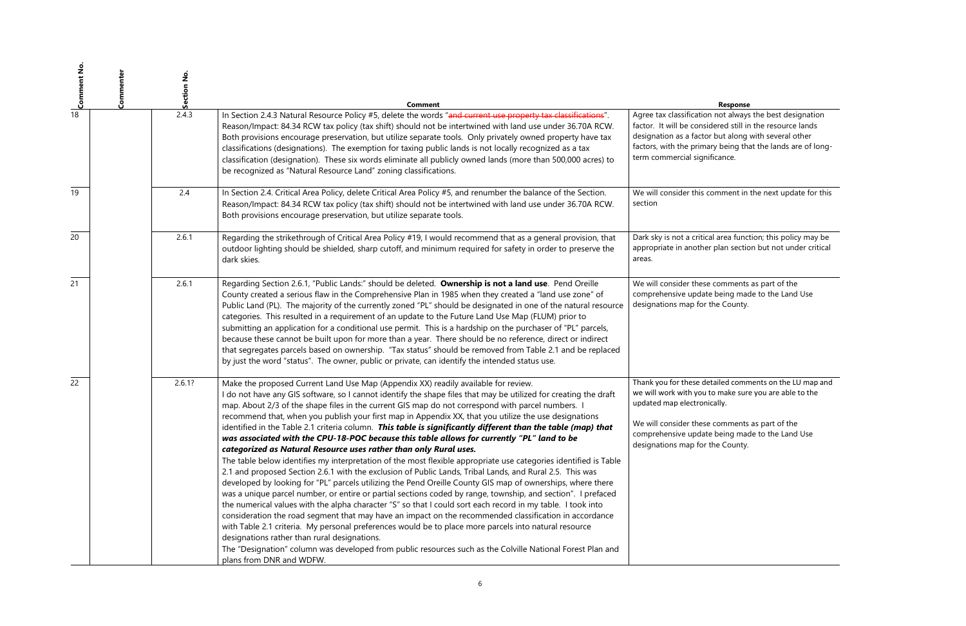n not always the best designation dered still in the resource lands r but along with several other ary being that the lands are of longficance.

comment in the next update for this

al area function; this policy may be r plan section but not under critical

e comments as part of the e being made to the Land Use the County.

tailed comments on the LU map and to make sure you are able to the ically.

e comments as part of the e being made to the Land Use the County.

| $\frac{1}{\infty}$ Comment No. | Commenter | Section No. | <b>Comment</b>                                                                                                                                                                                                                                                                                                                                                                                                                                                                                                                                                                                                                                                                                                                                                                                                                                                                                                                                                                                                                                                                                                                                                                                                                                                                                                                                                                                                                                                                                                                                                                                                                                                                                    |                                                                                                                                                          |
|--------------------------------|-----------|-------------|---------------------------------------------------------------------------------------------------------------------------------------------------------------------------------------------------------------------------------------------------------------------------------------------------------------------------------------------------------------------------------------------------------------------------------------------------------------------------------------------------------------------------------------------------------------------------------------------------------------------------------------------------------------------------------------------------------------------------------------------------------------------------------------------------------------------------------------------------------------------------------------------------------------------------------------------------------------------------------------------------------------------------------------------------------------------------------------------------------------------------------------------------------------------------------------------------------------------------------------------------------------------------------------------------------------------------------------------------------------------------------------------------------------------------------------------------------------------------------------------------------------------------------------------------------------------------------------------------------------------------------------------------------------------------------------------------|----------------------------------------------------------------------------------------------------------------------------------------------------------|
|                                |           | 2.4.3       | In Section 2.4.3 Natural Resource Policy #5, delete the words "and current use property tax classifications".<br>Reason/Impact: 84.34 RCW tax policy (tax shift) should not be intertwined with land use under 36.70A RCW.<br>Both provisions encourage preservation, but utilize separate tools. Only privately owned property have tax<br>classifications (designations). The exemption for taxing public lands is not locally recognized as a tax<br>classification (designation). These six words eliminate all publicly owned lands (more than 500,000 acres) to<br>be recognized as "Natural Resource Land" zoning classifications.                                                                                                                                                                                                                                                                                                                                                                                                                                                                                                                                                                                                                                                                                                                                                                                                                                                                                                                                                                                                                                                         | Agree tax classification<br>factor. It will be consid<br>designation as a factor<br>factors, with the prima<br>term commercial signif                    |
| 19                             |           | 2.4         | In Section 2.4. Critical Area Policy, delete Critical Area Policy #5, and renumber the balance of the Section.<br>Reason/Impact: 84.34 RCW tax policy (tax shift) should not be intertwined with land use under 36.70A RCW.<br>Both provisions encourage preservation, but utilize separate tools.                                                                                                                                                                                                                                                                                                                                                                                                                                                                                                                                                                                                                                                                                                                                                                                                                                                                                                                                                                                                                                                                                                                                                                                                                                                                                                                                                                                                | We will consider this co<br>section                                                                                                                      |
| 20                             |           | 2.6.1       | Regarding the strikethrough of Critical Area Policy #19, I would recommend that as a general provision, that<br>outdoor lighting should be shielded, sharp cutoff, and minimum required for safety in order to preserve the<br>dark skies.                                                                                                                                                                                                                                                                                                                                                                                                                                                                                                                                                                                                                                                                                                                                                                                                                                                                                                                                                                                                                                                                                                                                                                                                                                                                                                                                                                                                                                                        | Dark sky is not a critica<br>appropriate in another<br>areas.                                                                                            |
| 21                             |           | 2.6.1       | Regarding Section 2.6.1, "Public Lands:" should be deleted. Ownership is not a land use. Pend Oreille<br>County created a serious flaw in the Comprehensive Plan in 1985 when they created a "land use zone" of<br>Public Land (PL). The majority of the currently zoned "PL" should be designated in one of the natural resource<br>categories. This resulted in a requirement of an update to the Future Land Use Map (FLUM) prior to<br>submitting an application for a conditional use permit. This is a hardship on the purchaser of "PL" parcels,<br>because these cannot be built upon for more than a year. There should be no reference, direct or indirect<br>that segregates parcels based on ownership. "Tax status" should be removed from Table 2.1 and be replaced<br>by just the word "status". The owner, public or private, can identify the intended status use.                                                                                                                                                                                                                                                                                                                                                                                                                                                                                                                                                                                                                                                                                                                                                                                                               | We will consider these<br>comprehensive update<br>designations map for t                                                                                 |
| 22                             |           | 2.6.1?      | Make the proposed Current Land Use Map (Appendix XX) readily available for review.<br>I do not have any GIS software, so I cannot identify the shape files that may be utilized for creating the draft<br>map. About 2/3 of the shape files in the current GIS map do not correspond with parcel numbers. I<br>recommend that, when you publish your first map in Appendix XX, that you utilize the use designations<br>identified in the Table 2.1 criteria column. This table is significantly different than the table (map) that<br>was associated with the CPU-18-POC because this table allows for currently "PL" land to be<br>categorized as Natural Resource uses rather than only Rural uses.<br>The table below identifies my interpretation of the most flexible appropriate use categories identified is Table<br>2.1 and proposed Section 2.6.1 with the exclusion of Public Lands, Tribal Lands, and Rural 2.5. This was<br>developed by looking for "PL" parcels utilizing the Pend Oreille County GIS map of ownerships, where there<br>was a unique parcel number, or entire or partial sections coded by range, township, and section". I prefaced<br>the numerical values with the alpha character "S" so that I could sort each record in my table. I took into<br>consideration the road segment that may have an impact on the recommended classification in accordance<br>with Table 2.1 criteria. My personal preferences would be to place more parcels into natural resource<br>designations rather than rural designations.<br>The "Designation" column was developed from public resources such as the Colville National Forest Plan and<br>plans from DNR and WDFW. | Thank you for these det<br>we will work with you t<br>updated map electronid<br>We will consider these<br>comprehensive update<br>designations map for t |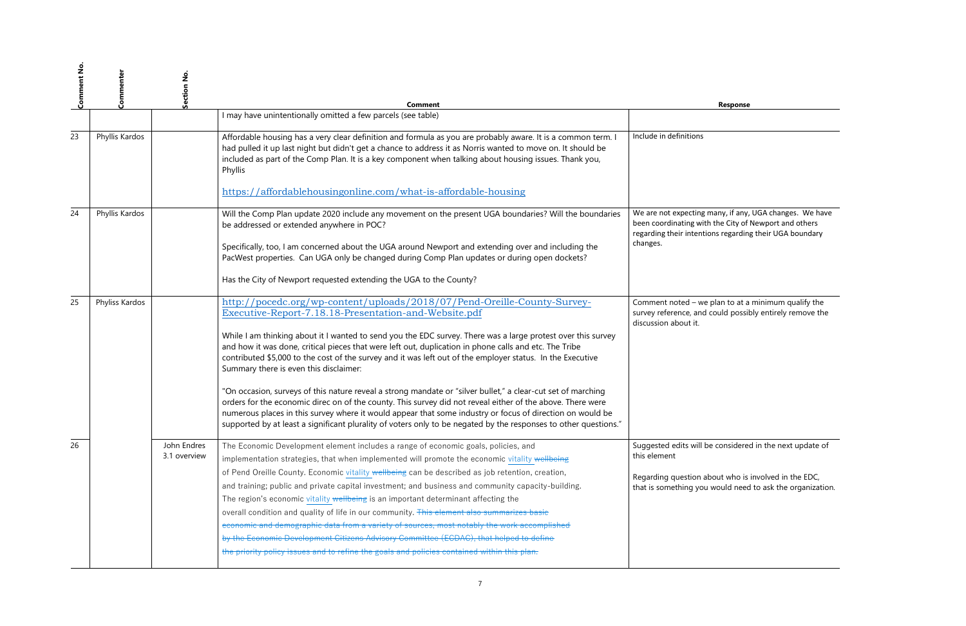many, if any, UGA changes. We have th the City of Newport and others ions regarding their UGA boundary

 $\overline{\text{e}}$  plan to at a minimum qualify the i could possibly entirely remove the

oe considered in the next update of

 $A$ bout who is involved in the EDC, I would need to ask the organization.

| <b>Comment No</b> | Commenter      | Section No.                 | <b>Comment</b>                                                                                                                                                                                                                                                                                                                                                                                                                                                                                                                                                                      |                                                                              |
|-------------------|----------------|-----------------------------|-------------------------------------------------------------------------------------------------------------------------------------------------------------------------------------------------------------------------------------------------------------------------------------------------------------------------------------------------------------------------------------------------------------------------------------------------------------------------------------------------------------------------------------------------------------------------------------|------------------------------------------------------------------------------|
|                   |                |                             | I may have unintentionally omitted a few parcels (see table)                                                                                                                                                                                                                                                                                                                                                                                                                                                                                                                        |                                                                              |
| 23                | Phyllis Kardos |                             | Affordable housing has a very clear definition and formula as you are probably aware. It is a common term. I<br>had pulled it up last night but didn't get a chance to address it as Norris wanted to move on. It should be<br>included as part of the Comp Plan. It is a key component when talking about housing issues. Thank you,<br>Phyllis                                                                                                                                                                                                                                    | Include in definitions                                                       |
|                   |                |                             | https://affordablehousingonline.com/what-is-affordable-housing                                                                                                                                                                                                                                                                                                                                                                                                                                                                                                                      |                                                                              |
| 24                | Phyllis Kardos |                             | Will the Comp Plan update 2020 include any movement on the present UGA boundaries? Will the boundaries<br>be addressed or extended anywhere in POC?                                                                                                                                                                                                                                                                                                                                                                                                                                 | We are not expecting r<br>been coordinating with<br>regarding their intentio |
|                   |                |                             | Specifically, too, I am concerned about the UGA around Newport and extending over and including the<br>PacWest properties. Can UGA only be changed during Comp Plan updates or during open dockets?                                                                                                                                                                                                                                                                                                                                                                                 | changes.                                                                     |
|                   |                |                             | Has the City of Newport requested extending the UGA to the County?                                                                                                                                                                                                                                                                                                                                                                                                                                                                                                                  |                                                                              |
| 25                | Phyliss Kardos |                             | http://pocedc.org/wp-content/uploads/2018/07/Pend-Oreille-County-Survey-<br>Executive-Report-7.18.18-Presentation-and-Website.pdf                                                                                                                                                                                                                                                                                                                                                                                                                                                   | Comment noted - we<br>survey reference, and<br>discussion about it.          |
|                   |                |                             | While I am thinking about it I wanted to send you the EDC survey. There was a large protest over this survey<br>and how it was done, critical pieces that were left out, duplication in phone calls and etc. The Tribe<br>contributed \$5,000 to the cost of the survey and it was left out of the employer status. In the Executive<br>Summary there is even this disclaimer:                                                                                                                                                                                                      |                                                                              |
|                   |                |                             | "On occasion, surveys of this nature reveal a strong mandate or "silver bullet," a clear-cut set of marching<br>orders for the economic direc on of the county. This survey did not reveal either of the above. There were<br>numerous places in this survey where it would appear that some industry or focus of direction on would be<br>supported by at least a significant plurality of voters only to be negated by the responses to other questions."                                                                                                                         |                                                                              |
| 26                |                | John Endres<br>3.1 overview | The Economic Development element includes a range of economic goals, policies, and<br>implementation strategies, that when implemented will promote the economic vitality wellbeing                                                                                                                                                                                                                                                                                                                                                                                                 | Suggested edits will b<br>this element                                       |
|                   |                |                             | of Pend Oreille County. Economic vitality wellbeing can be described as job retention, creation,<br>and training; public and private capital investment; and business and community capacity-building.<br>The region's economic vitality wellbeing is an important determinant affecting the<br>overall condition and quality of life in our community. This element also summarizes basic<br>economic and demographic data from a variety of sources, most notably the work accomplished<br>by the Economic Development Citizens Advisory Committee (ECDAC), that helped to define | Regarding question al<br>that is something you                               |
|                   |                |                             | the priority policy issues and to refine the goals and policies contained within this plan.                                                                                                                                                                                                                                                                                                                                                                                                                                                                                         |                                                                              |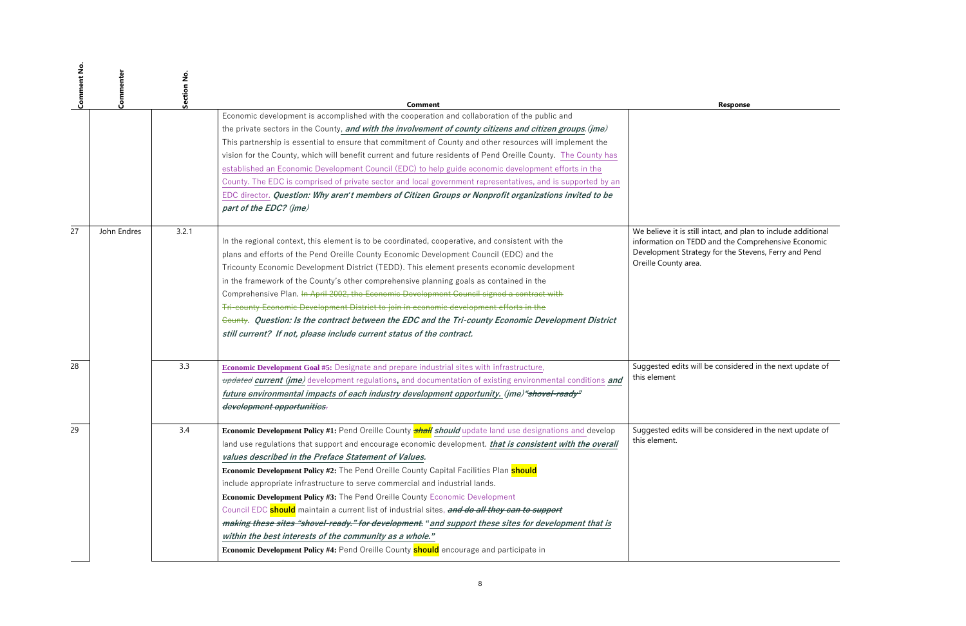Itact, and plan to include additional information on TEDD and the Comprehensive Economic Development Strategy for the Stevens, Ferry and Pend

 $\overline{\phantom{a}}$  considered in the next update of

oe considered in the next update of

| <b>Comment No</b> | Commenter   | Section No. | Comment                                                                                                                                                                                                                                                                                                                                                                                                                                                                                                                                                                                                                                                                                                                                                                                |                                                                                                     |
|-------------------|-------------|-------------|----------------------------------------------------------------------------------------------------------------------------------------------------------------------------------------------------------------------------------------------------------------------------------------------------------------------------------------------------------------------------------------------------------------------------------------------------------------------------------------------------------------------------------------------------------------------------------------------------------------------------------------------------------------------------------------------------------------------------------------------------------------------------------------|-----------------------------------------------------------------------------------------------------|
|                   |             |             | Economic development is accomplished with the cooperation and collaboration of the public and<br>the private sectors in the County, and with the involvement of county citizens and citizen groups. (jme)                                                                                                                                                                                                                                                                                                                                                                                                                                                                                                                                                                              |                                                                                                     |
|                   |             |             | This partnership is essential to ensure that commitment of County and other resources will implement the                                                                                                                                                                                                                                                                                                                                                                                                                                                                                                                                                                                                                                                                               |                                                                                                     |
|                   |             |             | vision for the County, which will benefit current and future residents of Pend Oreille County. The County has                                                                                                                                                                                                                                                                                                                                                                                                                                                                                                                                                                                                                                                                          |                                                                                                     |
|                   |             |             | established an Economic Development Council (EDC) to help guide economic development efforts in the                                                                                                                                                                                                                                                                                                                                                                                                                                                                                                                                                                                                                                                                                    |                                                                                                     |
|                   |             |             | County. The EDC is comprised of private sector and local government representatives, and is supported by an                                                                                                                                                                                                                                                                                                                                                                                                                                                                                                                                                                                                                                                                            |                                                                                                     |
|                   |             |             | EDC director. Question: Why aren't members of Citizen Groups or Nonprofit organizations invited to be<br>part of the EDC? (jme)                                                                                                                                                                                                                                                                                                                                                                                                                                                                                                                                                                                                                                                        |                                                                                                     |
| 27                | John Endres | 3.2.1       | In the regional context, this element is to be coordinated, cooperative, and consistent with the<br>plans and efforts of the Pend Oreille County Economic Development Council (EDC) and the<br>Tricounty Economic Development District (TEDD). This element presents economic development<br>in the framework of the County's other comprehensive planning goals as contained in the<br>Comprehensive Plan. In April 2002, the Economic Development Council signed a contract with<br>Tri-county Economic Development District to join in economic development efforts in the<br>County. Question: Is the contract between the EDC and the Tri-county Economic Development District<br>still current? If not, please include current status of the contract.                           | We believe it is still int<br>information on TEDD a<br>Development Strategy<br>Oreille County area. |
| 28                |             | 3.3         | Economic Development Goal #5: Designate and prepare industrial sites with infrastructure,                                                                                                                                                                                                                                                                                                                                                                                                                                                                                                                                                                                                                                                                                              | Suggested edits will be                                                                             |
|                   |             |             | updated current (jme) development regulations, and documentation of existing environmental conditions and                                                                                                                                                                                                                                                                                                                                                                                                                                                                                                                                                                                                                                                                              | this element                                                                                        |
|                   |             |             | future environmental impacts of each industry development opportunity. (jme) "shovel-ready"<br>development opportunities.                                                                                                                                                                                                                                                                                                                                                                                                                                                                                                                                                                                                                                                              |                                                                                                     |
| 29                |             | 3.4         | <b>Economic Development Policy #1:</b> Pend Oreille County <b>shall should</b> update land use designations and develop<br>land use regulations that support and encourage economic development. that is consistent with the overall<br>values described in the Preface Statement of Values.<br><b>Economic Development Policy #2:</b> The Pend Oreille County Capital Facilities Plan <b>should</b><br>include appropriate infrastructure to serve commercial and industrial lands.<br>Economic Development Policy #3: The Pend Oreille County Economic Development<br>Council EDC <b>should</b> maintain a current list of industrial sites, and do all they can to support<br>making these sites "shovel-ready." for development. " and support these sites for development that is | Suggested edits will be<br>this element.                                                            |
|                   |             |             | within the best interests of the community as a whole."<br>Economic Development Policy #4: Pend Oreille County should encourage and participate in                                                                                                                                                                                                                                                                                                                                                                                                                                                                                                                                                                                                                                     |                                                                                                     |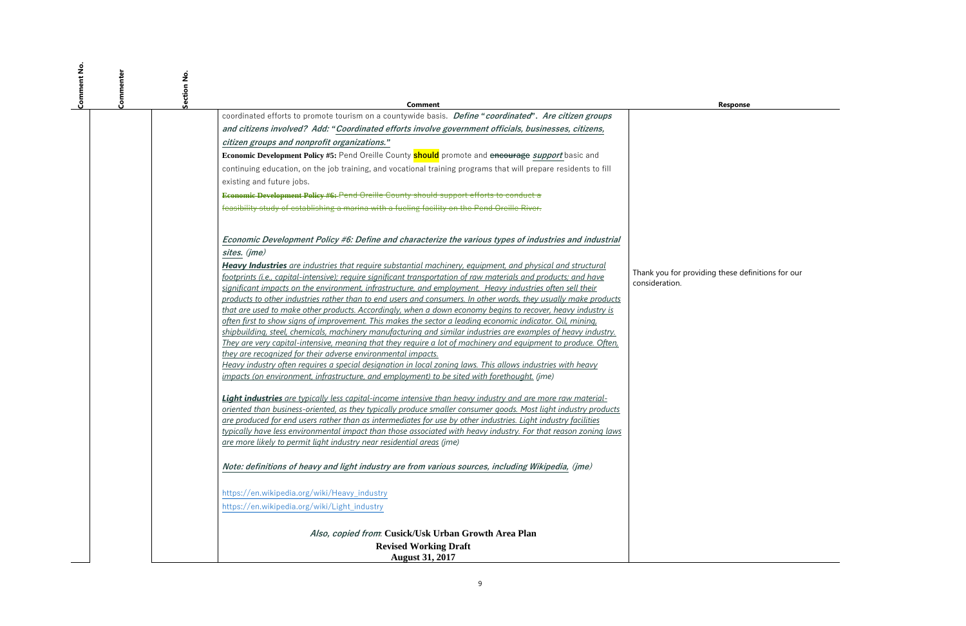| Comment No | Commenter | Section No.                                                                                                                                                                                                                                                                                                                                                                                                                                                                                              | Comment                                                                                                                                                                                                                                                                                                                                             |                                         |
|------------|-----------|----------------------------------------------------------------------------------------------------------------------------------------------------------------------------------------------------------------------------------------------------------------------------------------------------------------------------------------------------------------------------------------------------------------------------------------------------------------------------------------------------------|-----------------------------------------------------------------------------------------------------------------------------------------------------------------------------------------------------------------------------------------------------------------------------------------------------------------------------------------------------|-----------------------------------------|
|            |           | coordinated efforts to promote tourism on a countywide basis. <i>Define "coordinated"</i> . Are citizen groups                                                                                                                                                                                                                                                                                                                                                                                           |                                                                                                                                                                                                                                                                                                                                                     |                                         |
|            |           | and citizens involved? Add: "Coordinated efforts involve government officials, businesses, citizens,                                                                                                                                                                                                                                                                                                                                                                                                     |                                                                                                                                                                                                                                                                                                                                                     |                                         |
|            |           | citizen groups and nonprofit organizations."                                                                                                                                                                                                                                                                                                                                                                                                                                                             |                                                                                                                                                                                                                                                                                                                                                     |                                         |
|            |           | Economic Development Policy #5: Pend Oreille County should promote and encourage support basic and                                                                                                                                                                                                                                                                                                                                                                                                       |                                                                                                                                                                                                                                                                                                                                                     |                                         |
|            |           | continuing education, on the job training, and vocational training programs that will prepare residents to fill                                                                                                                                                                                                                                                                                                                                                                                          |                                                                                                                                                                                                                                                                                                                                                     |                                         |
|            |           | existing and future jobs.                                                                                                                                                                                                                                                                                                                                                                                                                                                                                |                                                                                                                                                                                                                                                                                                                                                     |                                         |
|            |           | <b>Economic Development Policy #6:-Pend Oreille County should support efforts to conduct a</b>                                                                                                                                                                                                                                                                                                                                                                                                           |                                                                                                                                                                                                                                                                                                                                                     |                                         |
|            |           | feasibility study of establishing a marina with a fueling facility on the Pend Oreille River.                                                                                                                                                                                                                                                                                                                                                                                                            |                                                                                                                                                                                                                                                                                                                                                     |                                         |
|            |           | sites. (jme)<br><b>Heavy Industries</b> are industries that require substantial machinery, equipment, and physical and structural<br>footprints (i.e., capital-intensive); require significant transportation of raw materials and products; and have<br>significant impacts on the environment, infrastructure, and employment. Heavy industries often sell their                                                                                                                                       | Economic Development Policy #6: Define and characterize the various types of industries and industrial                                                                                                                                                                                                                                              | Thank you for providi<br>consideration. |
|            |           | that are used to make other products. Accordingly, when a down economy begins to recover, heavy industry is<br>often first to show signs of improvement. This makes the sector a leading economic indicator. Oil, mining,<br>they are recognized for their adverse environmental impacts.<br>Heavy industry often requires a special designation in local zoning laws. This allows industries with heavy<br>impacts (on environment, infrastructure, and employment) to be sited with forethought. (jme) | products to other industries rather than to end users and consumers. In other words, they usually make products<br>shipbuilding, steel, chemicals, machinery manufacturing and similar industries are examples of heavy industry.<br>They are very capital-intensive, meaning that they require a lot of machinery and equipment to produce. Often, |                                         |
|            |           | Light industries are typically less capital-income intensive than heavy industry and are more raw material-<br>are produced for end users rather than as intermediates for use by other industries. Light industry facilities<br>are more likely to permit light industry near residential areas (jme)                                                                                                                                                                                                   | oriented than business-oriented, as they typically produce smaller consumer goods. Most light industry products<br>typically have less environmental impact than those associated with heavy industry. For that reason zoning laws                                                                                                                  |                                         |
|            |           | Note: definitions of heavy and light industry are from various sources, including Wikipedia, (jme)                                                                                                                                                                                                                                                                                                                                                                                                       |                                                                                                                                                                                                                                                                                                                                                     |                                         |
|            |           | https://en.wikipedia.org/wiki/Heavy_industry<br>https://en.wikipedia.org/wiki/Light_industry                                                                                                                                                                                                                                                                                                                                                                                                             |                                                                                                                                                                                                                                                                                                                                                     |                                         |
|            |           |                                                                                                                                                                                                                                                                                                                                                                                                                                                                                                          | Also, copied from: Cusick/Usk Urban Growth Area Plan<br><b>Revised Working Draft</b><br><b>August 31, 2017</b>                                                                                                                                                                                                                                      |                                         |

ding these definitions for our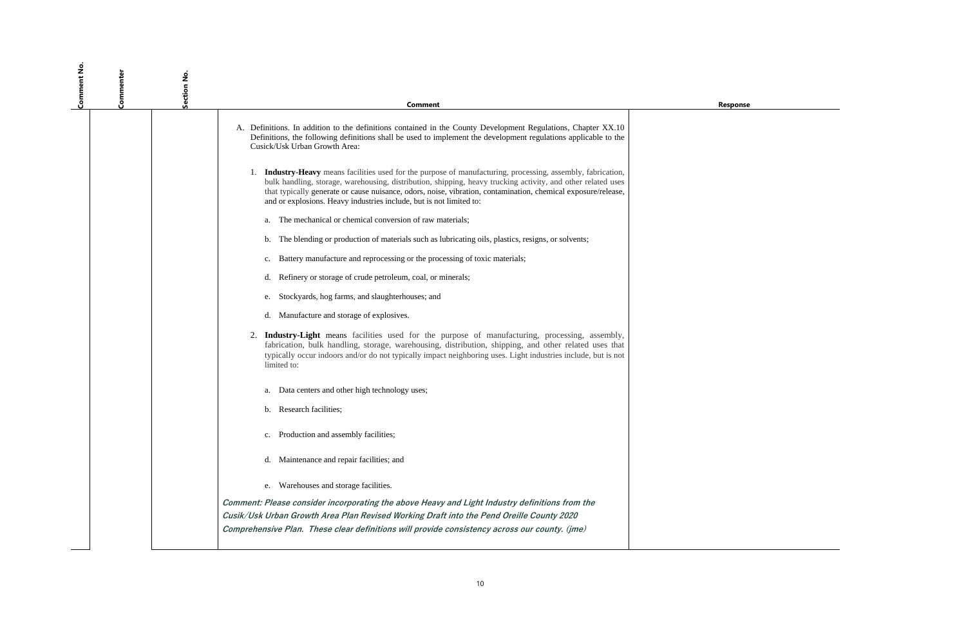**Response** 

| Comment No | Commenter | Section No. | <b>Comment</b>                                                                                                                                                                                                                                                                                                                                                                                                              |
|------------|-----------|-------------|-----------------------------------------------------------------------------------------------------------------------------------------------------------------------------------------------------------------------------------------------------------------------------------------------------------------------------------------------------------------------------------------------------------------------------|
|            |           |             | A. Definitions. In addition to the definitions contained in the County Development Regulations, Chapter XX.10<br>Definitions, the following definitions shall be used to implement the development regulations applicable to the<br>Cusick/Usk Urban Growth Area:                                                                                                                                                           |
|            |           |             | 1. <b>Industry-Heavy</b> means facilities used for the purpose of manufacturing, processing, assembly, fabrication,<br>bulk handling, storage, warehousing, distribution, shipping, heavy trucking activity, and other related uses<br>that typically generate or cause nuisance, odors, noise, vibration, contamination, chemical exposure/release,<br>and or explosions. Heavy industries include, but is not limited to: |
|            |           |             | The mechanical or chemical conversion of raw materials;<br>a.                                                                                                                                                                                                                                                                                                                                                               |
|            |           |             | The blending or production of materials such as lubricating oils, plastics, resigns, or solvents;<br>b.                                                                                                                                                                                                                                                                                                                     |
|            |           |             | Battery manufacture and reprocessing or the processing of toxic materials;<br>$\mathbf{c}$ .                                                                                                                                                                                                                                                                                                                                |
|            |           |             | Refinery or storage of crude petroleum, coal, or minerals;<br>d.                                                                                                                                                                                                                                                                                                                                                            |
|            |           |             | Stockyards, hog farms, and slaughterhouses; and<br>e.                                                                                                                                                                                                                                                                                                                                                                       |
|            |           |             | Manufacture and storage of explosives.<br>d.                                                                                                                                                                                                                                                                                                                                                                                |
|            |           |             | 2.<br><b>Industry-Light</b> means facilities used for the purpose of manufacturing, processing, assembly,<br>fabrication, bulk handling, storage, warehousing, distribution, shipping, and other related uses that<br>typically occur indoors and/or do not typically impact neighboring uses. Light industries include, but is not<br>limited to:                                                                          |
|            |           |             | Data centers and other high technology uses;<br>a.                                                                                                                                                                                                                                                                                                                                                                          |
|            |           |             | <b>Research facilities;</b><br>b.                                                                                                                                                                                                                                                                                                                                                                                           |
|            |           |             | Production and assembly facilities;                                                                                                                                                                                                                                                                                                                                                                                         |
|            |           |             | Maintenance and repair facilities; and                                                                                                                                                                                                                                                                                                                                                                                      |
|            |           |             | Warehouses and storage facilities.<br>e.                                                                                                                                                                                                                                                                                                                                                                                    |
|            |           |             | Comment: Please consider incorporating the above Heavy and Light Industry definitions from the                                                                                                                                                                                                                                                                                                                              |
|            |           |             | Cusik/Usk Urban Growth Area Plan Revised Working Draft into the Pend Oreille County 2020<br>Comprehensive Plan. These clear definitions will provide consistency across our county. (jme)                                                                                                                                                                                                                                   |
|            |           |             |                                                                                                                                                                                                                                                                                                                                                                                                                             |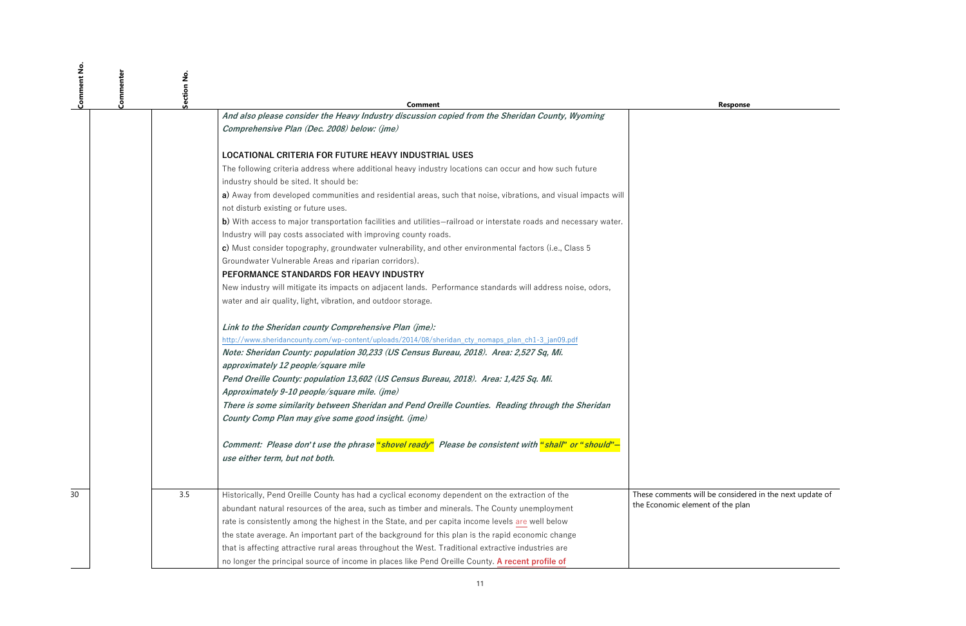11

**Response** 

be considered in the next update of t of the plan

| Comment No | Commenter<br>Section No |                                                                                                                                                        |                        |
|------------|-------------------------|--------------------------------------------------------------------------------------------------------------------------------------------------------|------------------------|
|            |                         | Comment                                                                                                                                                |                        |
|            |                         | And also please consider the Heavy Industry discussion copied from the Sheridan County, Wyoming                                                        |                        |
|            |                         | Comprehensive Plan (Dec. 2008) below: (jme)                                                                                                            |                        |
|            |                         | LOCATIONAL CRITERIA FOR FUTURE HEAVY INDUSTRIAL USES                                                                                                   |                        |
|            |                         | The following criteria address where additional heavy industry locations can occur and how such future                                                 |                        |
|            |                         | industry should be sited. It should be:                                                                                                                |                        |
|            |                         | a) Away from developed communities and residential areas, such that noise, vibrations, and visual impacts will<br>not disturb existing or future uses. |                        |
|            |                         | b) With access to major transportation facilities and utilities–railroad or interstate roads and necessary water.                                      |                        |
|            |                         | Industry will pay costs associated with improving county roads.                                                                                        |                        |
|            |                         | c) Must consider topography, groundwater vulnerability, and other environmental factors (i.e., Class 5                                                 |                        |
|            |                         | Groundwater Vulnerable Areas and riparian corridors).                                                                                                  |                        |
|            |                         | PEFORMANCE STANDARDS FOR HEAVY INDUSTRY                                                                                                                |                        |
|            |                         | New industry will mitigate its impacts on adjacent lands. Performance standards will address noise, odors,                                             |                        |
|            |                         | water and air quality, light, vibration, and outdoor storage.                                                                                          |                        |
|            |                         | Link to the Sheridan county Comprehensive Plan (jme):                                                                                                  |                        |
|            |                         | http://www.sheridancounty.com/wp-content/uploads/2014/08/sheridan_cty_nomaps_plan_ch1-3_jan09.pdf                                                      |                        |
|            |                         | Note: Sheridan County: population 30,233 (US Census Bureau, 2018). Area: 2,527 Sq, Mi.<br>approximately 12 people/square mile                          |                        |
|            |                         | Pend Oreille County: population 13,602 (US Census Bureau, 2018). Area: 1,425 Sq. Mi.                                                                   |                        |
|            |                         | Approximately 9-10 people/square mile. (jme)                                                                                                           |                        |
|            |                         | There is some similarity between Sheridan and Pend Oreille Counties. Reading through the Sheridan                                                      |                        |
|            |                         | County Comp Plan may give some good insight. (jme)                                                                                                     |                        |
|            |                         | Comment: Please don't use the phrase "shovel ready" Please be consistent with "shall" or "should"-                                                     |                        |
|            |                         | use either term, but not both.                                                                                                                         |                        |
|            |                         |                                                                                                                                                        |                        |
| 30         | 3.5                     | Historically, Pend Oreille County has had a cyclical economy dependent on the extraction of the                                                        | These comments will be |
|            |                         | abundant natural resources of the area, such as timber and minerals. The County unemployment                                                           | the Economic element   |
|            |                         | rate is consistently among the highest in the State, and per capita income levels are well below                                                       |                        |
|            |                         | the state average. An important part of the background for this plan is the rapid economic change                                                      |                        |
|            |                         | that is affecting attractive rural areas throughout the West. Traditional extractive industries are                                                    |                        |
|            |                         | no longer the principal source of income in places like Pend Oreille County. A recent profile of                                                       |                        |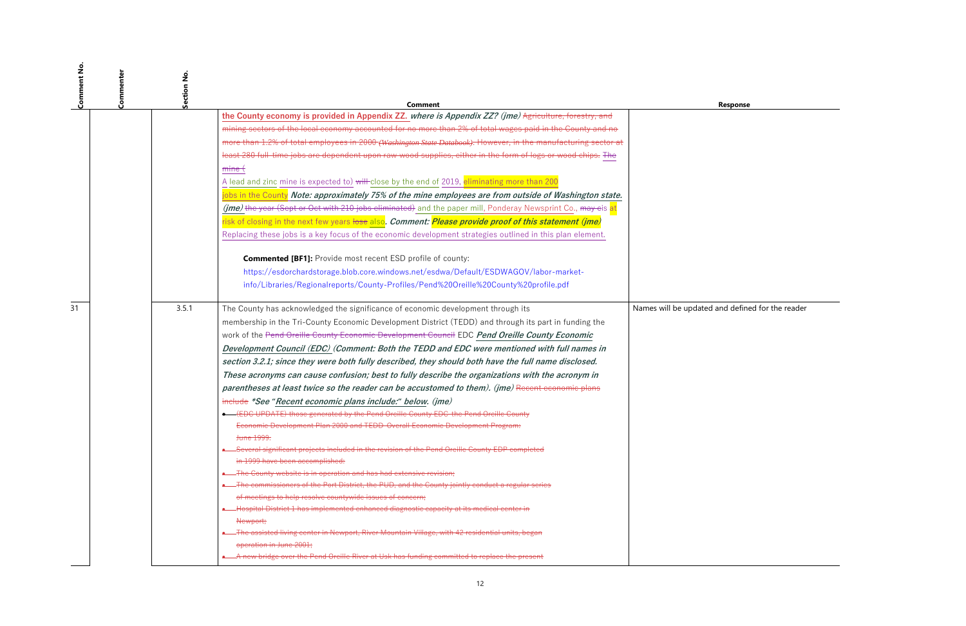ed and defined for the reader

| Comment No | Commenter | Ź<br>Section | Comment                                                                                                                                                |                       |
|------------|-----------|--------------|--------------------------------------------------------------------------------------------------------------------------------------------------------|-----------------------|
|            |           |              | the County economy is provided in Appendix ZZ. where is Appendix ZZ? (jme) Agriculture, forestry, and                                                  |                       |
|            |           |              | mining sectors of the local economy accounted for no more than 2% of total wages paid in the County and no                                             |                       |
|            |           |              | more than 1.2% of total employees in 2000 (Washington State Databook). However, in the manufacturing sector at                                         |                       |
|            |           |              | least 280 full-time jobs are dependent upon raw wood supplies, either in the form of logs or wood chips. The                                           |                       |
|            |           |              | <del>mine (</del>                                                                                                                                      |                       |
|            |           |              | A lead and zinc mine is expected to) will-close by the end of 2019, eliminating more than 200                                                          |                       |
|            |           |              | jobs in the County Note: approximately 75% of the mine employees are from outside of Washington state.                                                 |                       |
|            |           |              | (jme) the year (Sept or Oct with 210 jobs eliminated) and the paper mill, Ponderay Newsprint Co., may cis at                                           |                       |
|            |           |              | risk of closing in the next few years lose also. Comment: Please provide proof of this statement (jme)                                                 |                       |
|            |           |              | Replacing these jobs is a key focus of the economic development strategies outlined in this plan element.                                              |                       |
|            |           |              |                                                                                                                                                        |                       |
|            |           |              | <b>Commented [BF1]:</b> Provide most recent ESD profile of county:                                                                                     |                       |
|            |           |              | https://esdorchardstorage.blob.core.windows.net/esdwa/Default/ESDWAGOV/labor-market-                                                                   |                       |
|            |           |              | info/Libraries/Regionalreports/County-Profiles/Pend%20Oreille%20County%20profile.pdf                                                                   |                       |
| 31         |           | 3.5.1        | The County has acknowledged the significance of economic development through its                                                                       | Names will be updated |
|            |           |              | membership in the Tri-County Economic Development District (TEDD) and through its part in funding the                                                  |                       |
|            |           |              | work of the Pend Oreille County Economic Development Council EDC Pend Oreille County Economic                                                          |                       |
|            |           |              | Development Council (EDC) (Comment: Both the TEDD and EDC were mentioned with full names in                                                            |                       |
|            |           |              | section 3.2.1; since they were both fully described, they should both have the full name disclosed.                                                    |                       |
|            |           |              | These acronyms can cause confusion; best to fully describe the organizations with the acronym in                                                       |                       |
|            |           |              | parentheses at least twice so the reader can be accustomed to them). (jme) Recent economic plans                                                       |                       |
|            |           |              | include *See "Recent economic plans include:" below. (jme)                                                                                             |                       |
|            |           |              | <b>.</b> (EDC UPDATE) those generated by the Pend Oreille County EDC-the Pend Oreille County                                                           |                       |
|            |           |              | Economic Development Plan 2000 and TEDD-Overall Economic Development Program:                                                                          |                       |
|            |           |              | <del>June 1999.</del>                                                                                                                                  |                       |
|            |           |              | <b>.</b> Several significant projects included in the revision of the Pend Oreille County EDP completed                                                |                       |
|            |           |              | in 1999 have been accomplished:                                                                                                                        |                       |
|            |           |              | • The County website is in operation and has had extensive revision;                                                                                   |                       |
|            |           |              | The commissioners of the Port District, the PUD, and the County jointly conduct a regular series                                                       |                       |
|            |           |              | of meetings to help resolve countywide issues of concern;<br>Hospital District 1 has implemented enhanced diagnostic capacity at its medical center in |                       |
|            |           |              | Newport;                                                                                                                                               |                       |
|            |           |              | The assisted living center in Newport, River Mountain Village, with 42 residential units, began                                                        |                       |
|            |           |              | operation in June 2001;                                                                                                                                |                       |
|            |           |              | . A new bridge over the Pend Oreille River at Usk has funding committed to replace the present                                                         |                       |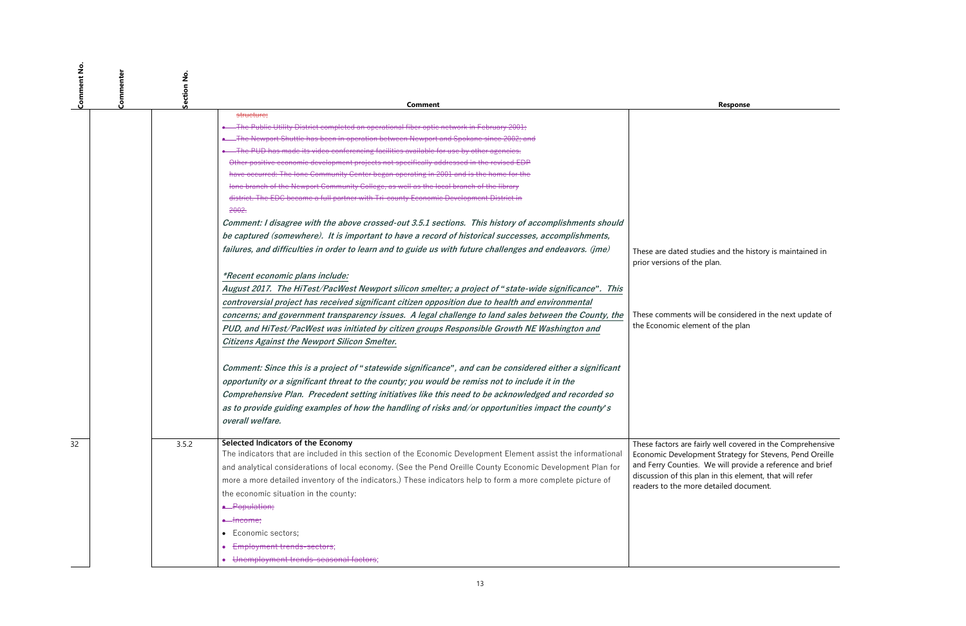ies and the history is maintained in plan.

be considered in the next update of t of the plan

y well covered in the Comprehensive ent Strategy for Stevens, Pend Oreille We will provide a reference and brief  $\overline{\phantom{a}}$  in this element, that will refer detailed document.

| Comment No | Commenter | ş<br>Section |                                                                                                                                                                                                                                                                                                                                                                                                                                                |                                                                                                                               |
|------------|-----------|--------------|------------------------------------------------------------------------------------------------------------------------------------------------------------------------------------------------------------------------------------------------------------------------------------------------------------------------------------------------------------------------------------------------------------------------------------------------|-------------------------------------------------------------------------------------------------------------------------------|
|            |           |              | <b>Comment</b><br>structure;                                                                                                                                                                                                                                                                                                                                                                                                                   |                                                                                                                               |
|            |           |              | . The Public Utility District completed an operational fiber optic network in February 2001;<br>. The Newport Shuttle has been in operation between Newport and Spokane since 2002; and<br>. The PUD has made its video conferencing facilities available for use by other agencies.<br>Other positive economic development projects not specifically addressed in the revised EDP                                                             |                                                                                                                               |
|            |           |              | have occurred: The lone Community Center began operating in 2001 and is the home for the<br>lone branch of the Newport Community College, as well as the local branch of the library<br>district. The EDC became a full partner with Tri-county Economic Development District in                                                                                                                                                               |                                                                                                                               |
|            |           |              | 2002.<br>Comment: I disagree with the above crossed-out 3.5.1 sections. This history of accomplishments should                                                                                                                                                                                                                                                                                                                                 |                                                                                                                               |
|            |           |              | be captured (somewhere). It is important to have a record of historical successes, accomplishments,<br>failures, and difficulties in order to learn and to guide us with future challenges and endeavors. (jme)                                                                                                                                                                                                                                | These are dated studie<br>prior versions of the p                                                                             |
|            |           |              | *Recent economic plans include:<br>August 2017. The HiTest/PacWest Newport silicon smelter; a project of "state-wide significance". This                                                                                                                                                                                                                                                                                                       |                                                                                                                               |
|            |           |              | controversial project has received significant citizen opposition due to health and environmental<br>concerns; and government transparency issues. A legal challenge to land sales between the County, the<br>PUD, and HiTest/PacWest was initiated by citizen groups Responsible Growth NE Washington and<br><b>Citizens Against the Newport Silicon Smelter.</b>                                                                             | These comments will b<br>the Economic element                                                                                 |
|            |           |              | Comment: Since this is a project of "statewide significance", and can be considered either a significant<br>opportunity or a significant threat to the county; you would be remiss not to include it in the<br>Comprehensive Plan. Precedent setting initiatives like this need to be acknowledged and recorded so<br>as to provide guiding examples of how the handling of risks and/or opportunities impact the county's<br>overall welfare. |                                                                                                                               |
| 32         |           | 3.5.2        | Selected Indicators of the Economy<br>The indicators that are included in this section of the Economic Development Element assist the informational<br>and analytical considerations of local economy. (See the Pend Oreille County Economic Development Plan for<br>more a more detailed inventory of the indicators.) These indicators help to form a more complete picture of<br>the economic situation in the county:<br>• Population;     | These factors are fairly<br>Economic Developmer<br>and Ferry Counties. W<br>discussion of this plan<br>readers to the more do |
|            |           |              | <del>• Income;</del><br>Economic sectors;<br>$\bullet$<br>Employment trends-sectors;<br>• Unemployment trends-seasonal factors;                                                                                                                                                                                                                                                                                                                |                                                                                                                               |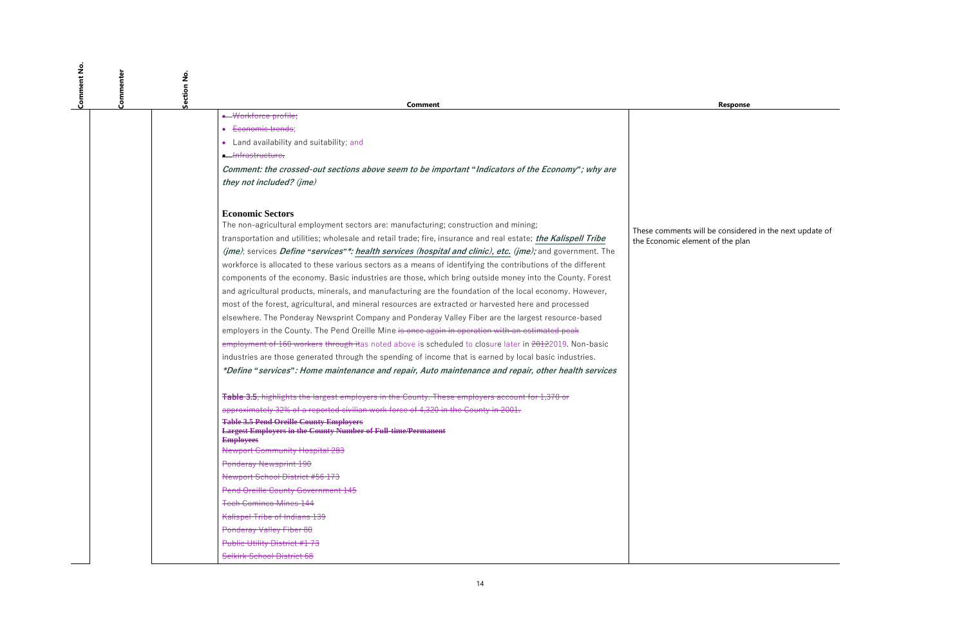**Response** 

I be considered in the next update of nt of the plan

| Comment No | Commenter<br>Section No. |                                                                                                                                            |                     |
|------------|--------------------------|--------------------------------------------------------------------------------------------------------------------------------------------|---------------------|
|            |                          | Comment<br>· Workforce profile;                                                                                                            |                     |
|            |                          | Economic trends;                                                                                                                           |                     |
|            |                          | • Land availability and suitability; and                                                                                                   |                     |
|            |                          | • Infrastructure.                                                                                                                          |                     |
|            |                          | Comment: the crossed-out sections above seem to be important "Indicators of the Economy"; why are                                          |                     |
|            |                          | they not included? (jme)                                                                                                                   |                     |
|            |                          | <b>Economic Sectors</b>                                                                                                                    |                     |
|            |                          | The non-agricultural employment sectors are: manufacturing; construction and mining;                                                       | These comments will |
|            |                          | transportation and utilities; wholesale and retail trade; fire, insurance and real estate; the Kalispell Tribe                             | the Economic elemen |
|            |                          | ( <i>jme</i> ); services <i>Define "services"*: health services (hospital and clinic), etc. (<i>jme</i>); and government. The</i>          |                     |
|            |                          | workforce is allocated to these various sectors as a means of identifying the contributions of the different                               |                     |
|            |                          | components of the economy. Basic industries are those, which bring outside money into the County. Forest                                   |                     |
|            |                          | and agricultural products, minerals, and manufacturing are the foundation of the local economy. However,                                   |                     |
|            |                          | most of the forest, agricultural, and mineral resources are extracted or harvested here and processed                                      |                     |
|            |                          | elsewhere. The Ponderay Newsprint Company and Ponderay Valley Fiber are the largest resource-based                                         |                     |
|            |                          | employers in the County. The Pend Oreille Mine is once again in operation with an estimated peak                                           |                     |
|            |                          | employment of 160 workers through itas noted above is scheduled to closure later in 20122019. Non-basic                                    |                     |
|            |                          | industries are those generated through the spending of income that is earned by local basic industries.                                    |                     |
|            |                          | *Define "services": Home maintenance and repair, Auto maintenance and repair, other health services                                        |                     |
|            |                          | <b>Table 3.5, highlights the largest employers in the County. These employers account for 1,370 or</b>                                     |                     |
|            |                          | approximately 32% of a reported civilian work force of 4,320 in the County in 2001.                                                        |                     |
|            |                          | <b>Table 3.5 Pend Oreille County Employers</b><br><b>Largest Employers in the County Number of Full-time/Permanent</b><br><b>Employees</b> |                     |
|            |                          | <b>Newport Community Hospital 283</b>                                                                                                      |                     |
|            |                          | Ponderay Newsprint 190                                                                                                                     |                     |
|            |                          | Newport School District #56 173                                                                                                            |                     |
|            |                          | Pend Oreille County Government 145                                                                                                         |                     |
|            |                          | <b>Tech Cominco Mines 144</b>                                                                                                              |                     |
|            |                          | Kalispel Tribe of Indians 139                                                                                                              |                     |
|            |                          | Ponderay Valley Fiber 80                                                                                                                   |                     |
|            |                          | Public Utility District #1 73                                                                                                              |                     |
|            |                          | Selkirk School District 68                                                                                                                 |                     |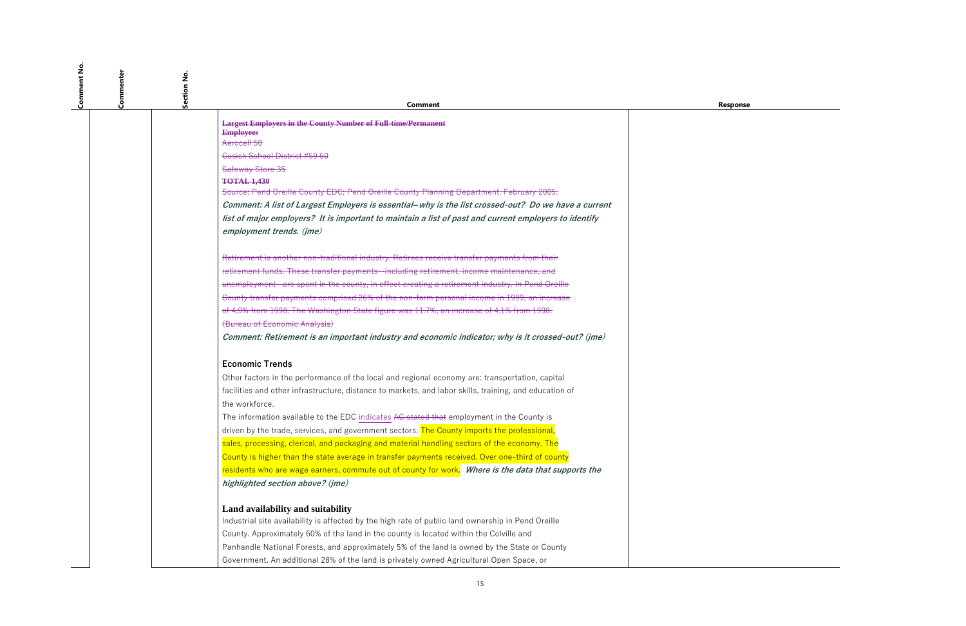| Comment No.<br>Commenter | Section No. |                                                                                                                          |
|--------------------------|-------------|--------------------------------------------------------------------------------------------------------------------------|
|                          |             | <b>Comment</b>                                                                                                           |
|                          |             | <b>Largest Employers in the County Number of Full-time/Permanent</b>                                                     |
|                          |             | <b>Employees</b>                                                                                                         |
|                          |             | Aerocell 50                                                                                                              |
|                          |             | <b>Cusick School District #59 50</b>                                                                                     |
|                          |             | Safeway Store 35                                                                                                         |
|                          |             | <b>TOTAL 1,430</b><br>Source: Pend Oreille County EDC; Pend Oreille County Planning Department. February 2005.           |
|                          |             | Comment: A list of Largest Employers is essential-why is the list crossed-out? Do we have a current                      |
|                          |             | list of major employers? It is important to maintain a list of past and current employers to identify                    |
|                          |             | employment trends. (jme)                                                                                                 |
|                          |             | Retirement is another non-traditional industry. Retirees receive transfer payments from their                            |
|                          |             | retirement funds. These transfer payments--including retirement, income maintenance, and                                 |
|                          |             | unemployment--are spent in the county, in effect creating a retirement industry. In Pend Oreille                         |
|                          |             | County transfer payments comprised 26% of the non-farm personal income in 1999, an increase                              |
|                          |             | of 4.9% from 1998. The Washington State figure was 11.7%, an increase of 4.1% from 1998.                                 |
|                          |             | (Bureau of Economic Analysis)                                                                                            |
|                          |             | Comment: Retirement is an important industry and economic indicator; why is it crossed-out? (jme)                        |
|                          |             | <b>Economic Trends</b>                                                                                                   |
|                          |             | Other factors in the performance of the local and regional economy are: transportation, capital                          |
|                          |             | facilities and other infrastructure, distance to markets, and labor skills, training, and education of<br>the workforce. |
|                          |             | The information available to the EDC indicates AC stated that employment in the County is                                |
|                          |             | driven by the trade, services, and government sectors. The County imports the professional,                              |
|                          |             | sales, processing, clerical, and packaging and material handling sectors of the economy. The                             |
|                          |             | County is higher than the state average in transfer payments received. Over one-third of county                          |
|                          |             | residents who are wage earners, commute out of county for work. Where is the data that supports the                      |
|                          |             | highlighted section above? (jme)                                                                                         |
|                          |             | Land availability and suitability                                                                                        |
|                          |             | Industrial site availability is affected by the high rate of public land ownership in Pend Oreille                       |
|                          |             | County. Approximately 60% of the land in the county is located within the Colville and                                   |
|                          |             | Panhandle National Forests, and approximately 5% of the land is owned by the State or County                             |
|                          |             | Government. An additional 28% of the land is privately owned Agricultural Open Space, or                                 |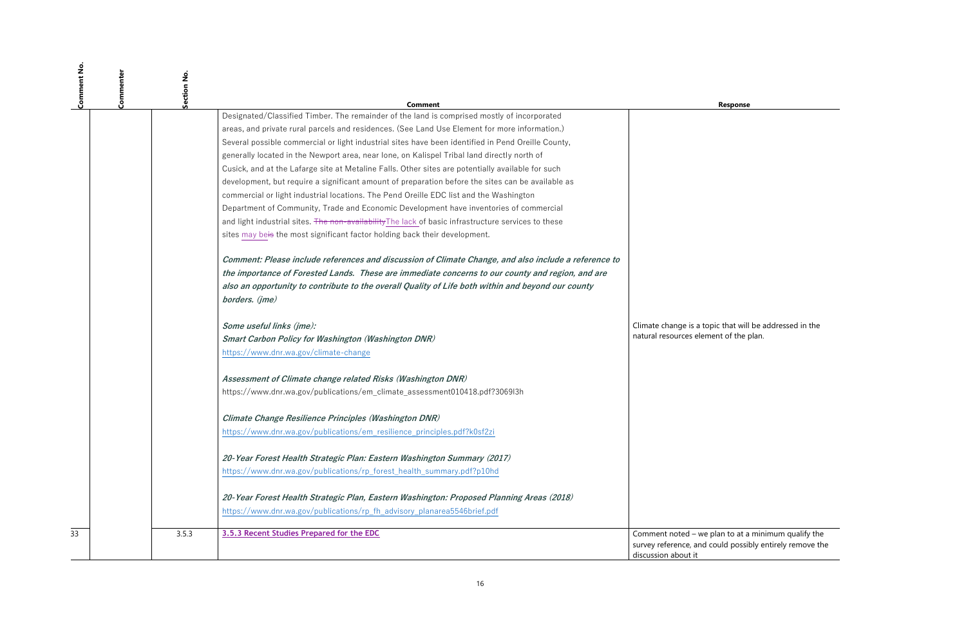**Response** 

topic that will be addressed in the  $\overline{\text{e}}$  resources the plan.

<sup>3</sup> 3.5.3.3 plan to at a minimum qualify the i could possibly entirely remove the

| Comment No. | Commenter | Section No. | Comment                                                                                                                                                                                                                                                                                                                          |                                              |
|-------------|-----------|-------------|----------------------------------------------------------------------------------------------------------------------------------------------------------------------------------------------------------------------------------------------------------------------------------------------------------------------------------|----------------------------------------------|
|             |           |             | Designated/Classified Timber. The remainder of the land is comprised mostly of incorporated                                                                                                                                                                                                                                      |                                              |
|             |           |             | areas, and private rural parcels and residences. (See Land Use Element for more information.)                                                                                                                                                                                                                                    |                                              |
|             |           |             | Several possible commercial or light industrial sites have been identified in Pend Oreille County,                                                                                                                                                                                                                               |                                              |
|             |           |             | generally located in the Newport area, near lone, on Kalispel Tribal land directly north of                                                                                                                                                                                                                                      |                                              |
|             |           |             | Cusick, and at the Lafarge site at Metaline Falls. Other sites are potentially available for such                                                                                                                                                                                                                                |                                              |
|             |           |             | development, but require a significant amount of preparation before the sites can be available as                                                                                                                                                                                                                                |                                              |
|             |           |             | commercial or light industrial locations. The Pend Oreille EDC list and the Washington                                                                                                                                                                                                                                           |                                              |
|             |           |             | Department of Community, Trade and Economic Development have inventories of commercial                                                                                                                                                                                                                                           |                                              |
|             |           |             | and light industrial sites. The non-availability The lack of basic infrastructure services to these                                                                                                                                                                                                                              |                                              |
|             |           |             | sites may beis the most significant factor holding back their development.                                                                                                                                                                                                                                                       |                                              |
|             |           |             | Comment: Please include references and discussion of Climate Change, and also include a reference to<br>the importance of Forested Lands. These are immediate concerns to our county and region, and are<br>also an opportunity to contribute to the overall Quality of Life both within and beyond our county<br>borders. (jme) |                                              |
|             |           |             | Some useful links (jme):                                                                                                                                                                                                                                                                                                         | Climate change is a to                       |
|             |           |             | <b>Smart Carbon Policy for Washington (Washington DNR)</b>                                                                                                                                                                                                                                                                       | natural resources eler                       |
|             |           |             | https://www.dnr.wa.gov/climate-change                                                                                                                                                                                                                                                                                            |                                              |
|             |           |             | Assessment of Climate change related Risks (Washington DNR)                                                                                                                                                                                                                                                                      |                                              |
|             |           |             | https://www.dnr.wa.gov/publications/em_climate_assessment010418.pdf?3069l3h                                                                                                                                                                                                                                                      |                                              |
|             |           |             | Climate Change Resilience Principles (Washington DNR)                                                                                                                                                                                                                                                                            |                                              |
|             |           |             | https://www.dnr.wa.gov/publications/em_resilience_principles.pdf?k0sf2zi                                                                                                                                                                                                                                                         |                                              |
|             |           |             | 20-Year Forest Health Strategic Plan: Eastern Washington Summary (2017)                                                                                                                                                                                                                                                          |                                              |
|             |           |             | https://www.dnr.wa.gov/publications/rp_forest_health_summary.pdf?p10hd                                                                                                                                                                                                                                                           |                                              |
|             |           |             | 20-Year Forest Health Strategic Plan, Eastern Washington: Proposed Planning Areas (2018)                                                                                                                                                                                                                                         |                                              |
|             |           |             | https://www.dnr.wa.gov/publications/rp_fh_advisory_planarea5546brief.pdf                                                                                                                                                                                                                                                         |                                              |
| 33          |           | 3.5.3       | 3.5.3 Recent Studies Prepared for the EDC                                                                                                                                                                                                                                                                                        | Comment noted - we                           |
|             |           |             |                                                                                                                                                                                                                                                                                                                                  | survey reference, and<br>discussion about it |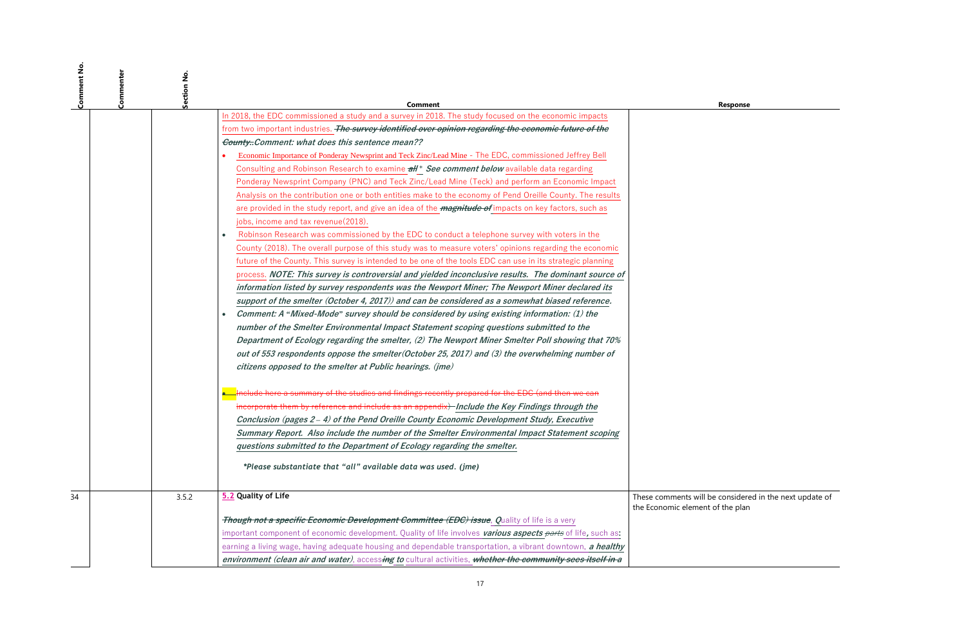$\overline{\mathsf{II}}$  be considered in the next update of nt of the plan

| <b>Comment No</b> | Commenter<br>Section No. |                                                                                                                         |                                            |
|-------------------|--------------------------|-------------------------------------------------------------------------------------------------------------------------|--------------------------------------------|
|                   |                          | <b>Comment</b><br>In 2018, the EDC commissioned a study and a survey in 2018. The study focused on the economic impacts |                                            |
|                   |                          | from two important industries. The survey identified over opinion regarding the economic future of the                  |                                            |
|                   |                          | County. Comment: what does this sentence mean??                                                                         |                                            |
|                   |                          | Economic Importance of Ponderay Newsprint and Teck Zinc/Lead Mine - The EDC, commissioned Jeffrey Bell                  |                                            |
|                   |                          | Consulting and Robinson Research to examine <i>all</i> * See comment below available data regarding                     |                                            |
|                   |                          | Ponderay Newsprint Company (PNC) and Teck Zinc/Lead Mine (Teck) and perform an Economic Impact                          |                                            |
|                   |                          | Analysis on the contribution one or both entities make to the economy of Pend Oreille County. The results               |                                            |
|                   |                          | are provided in the study report, and give an idea of the <i>magnitude of</i> impacts on key factors, such as           |                                            |
|                   |                          | jobs, income and tax revenue (2018).                                                                                    |                                            |
|                   |                          | Robinson Research was commissioned by the EDC to conduct a telephone survey with voters in the<br>$\bullet$             |                                            |
|                   |                          | County (2018). The overall purpose of this study was to measure voters' opinions regarding the economic                 |                                            |
|                   |                          | future of the County. This survey is intended to be one of the tools EDC can use in its strategic planning              |                                            |
|                   |                          | process. NOTE: This survey is controversial and yielded inconclusive results. The dominant source of                    |                                            |
|                   |                          | information listed by survey respondents was the Newport Miner; The Newport Miner declared its                          |                                            |
|                   |                          | support of the smelter (October 4, 2017)) and can be considered as a somewhat biased reference.                         |                                            |
|                   |                          | Comment: A "Mixed-Mode" survey should be considered by using existing information: (1) the<br>$\bullet$                 |                                            |
|                   |                          | number of the Smelter Environmental Impact Statement scoping questions submitted to the                                 |                                            |
|                   |                          | Department of Ecology regarding the smelter, (2) The Newport Miner Smelter Poll showing that 70%                        |                                            |
|                   |                          | out of 553 respondents oppose the smelter (October 25, 2017) and (3) the overwhelming number of                         |                                            |
|                   |                          | citizens opposed to the smelter at Public hearings. (jme)                                                               |                                            |
|                   |                          | Include here a summary of the studies and findings recently prepared for the EDC (and then we can                       |                                            |
|                   |                          | incorporate them by reference and include as an appendix) Include the Key Findings through the                          |                                            |
|                   |                          | Conclusion (pages 2-4) of the Pend Oreille County Economic Development Study, Executive                                 |                                            |
|                   |                          | Summary Report. Also include the number of the Smelter Environmental Impact Statement scoping                           |                                            |
|                   |                          | questions submitted to the Department of Ecology regarding the smelter.                                                 |                                            |
|                   |                          | *Please substantiate that "all" available data was used. (jme)                                                          |                                            |
| 34                | 3.5.2                    | 5.2 Quality of Life                                                                                                     | These comments will<br>the Economic elemer |
|                   |                          | <i><del>Though not a specific Economic Development Committee (EDC) issue</del>, Quality of life is a very</i>           |                                            |
|                   |                          | important component of economic development. Quality of life involves various aspects parts of life, such as:           |                                            |
|                   |                          | earning a living wage, having adequate housing and dependable transportation, a vibrant downtown, a healthy             |                                            |
|                   |                          | environment (clean air and water), accessing to cultural activities, whether the community sees itself in a             |                                            |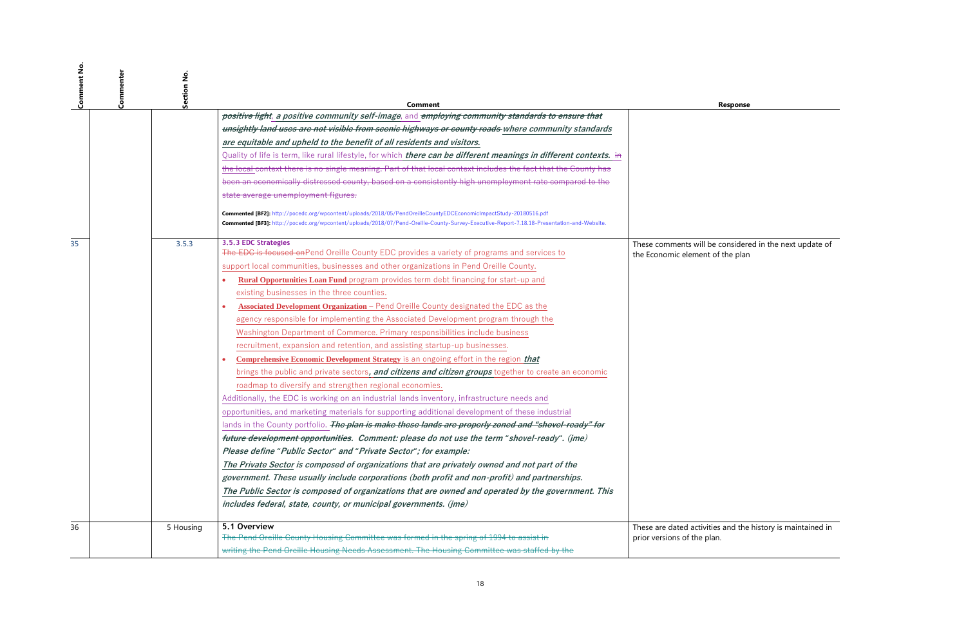| Comment No | آ<br>So | Section No | Comment                                                                                                                                                                                                                                                         | <b>Response</b>                    |
|------------|---------|------------|-----------------------------------------------------------------------------------------------------------------------------------------------------------------------------------------------------------------------------------------------------------------|------------------------------------|
|            |         |            | positive light, a positive community self-image, and employing community standards to ensure that                                                                                                                                                               |                                    |
|            |         |            | unsightly land uses are not visible from scenic highways or county roads where community standards                                                                                                                                                              |                                    |
|            |         |            | are equitable and upheld to the benefit of all residents and visitors.                                                                                                                                                                                          |                                    |
|            |         |            | Quality of life is term, like rural lifestyle, for which <i>there can be different meanings in different contexts.</i> in                                                                                                                                       |                                    |
|            |         |            | the local context there is no single meaning. Part of that local context includes the fact that the County has                                                                                                                                                  |                                    |
|            |         |            | been an economically distressed county, based on a consistently high unemployment rate compared to the                                                                                                                                                          |                                    |
|            |         |            | state average unemployment figures.                                                                                                                                                                                                                             |                                    |
|            |         |            | Commented [BF2]: http://pocedc.org/wpcontent/uploads/2018/05/PendOreilleCountyEDCEconomicImpactStudy-20180516.pdf<br>Commented [BF3]: http://pocedc.org/wpcontent/uploads/2018/07/Pend-Oreille-County-Survey-Executive-Report-7.18.18-Presentation-and-Website. |                                    |
| 35         |         | 3.5.3      | 3.5.3 EDC Strategies                                                                                                                                                                                                                                            | These comments will be considere   |
|            |         |            | The EDC is focused on Pend Oreille County EDC provides a variety of programs and services to                                                                                                                                                                    | the Economic element of the plan   |
|            |         |            | support local communities, businesses and other organizations in Pend Oreille County.                                                                                                                                                                           |                                    |
|            |         |            | Rural Opportunities Loan Fund program provides term debt financing for start-up and                                                                                                                                                                             |                                    |
|            |         |            | existing businesses in the three counties.                                                                                                                                                                                                                      |                                    |
|            |         |            | Associated Development Organization - Pend Oreille County designated the EDC as the<br>$\bullet$                                                                                                                                                                |                                    |
|            |         |            | agency responsible for implementing the Associated Development program through the                                                                                                                                                                              |                                    |
|            |         |            | Washington Department of Commerce. Primary responsibilities include business                                                                                                                                                                                    |                                    |
|            |         |            | recruitment, expansion and retention, and assisting startup-up businesses.                                                                                                                                                                                      |                                    |
|            |         |            | <b>Comprehensive Economic Development Strategy</b> is an ongoing effort in the region that<br>$\bullet$                                                                                                                                                         |                                    |
|            |         |            | brings the public and private sectors, and citizens and citizen groups together to create an economic                                                                                                                                                           |                                    |
|            |         |            | roadmap to diversify and strengthen regional economies.                                                                                                                                                                                                         |                                    |
|            |         |            | Additionally, the EDC is working on an industrial lands inventory, infrastructure needs and                                                                                                                                                                     |                                    |
|            |         |            | opportunities, and marketing materials for supporting additional development of these industrial                                                                                                                                                                |                                    |
|            |         |            | lands in the County portfolio. The plan is make these lands are properly zoned and "shovel-ready" for                                                                                                                                                           |                                    |
|            |         |            | future development opportunities. Comment: please do not use the term "shovel-ready". (jme)                                                                                                                                                                     |                                    |
|            |         |            | Please define "Public Sector" and "Private Sector"; for example:                                                                                                                                                                                                |                                    |
|            |         |            | The Private Sector is composed of organizations that are privately owned and not part of the                                                                                                                                                                    |                                    |
|            |         |            | government. These usually include corporations (both profit and non-profit) and partnerships.                                                                                                                                                                   |                                    |
|            |         |            | The Public Sector is composed of organizations that are owned and operated by the government. This                                                                                                                                                              |                                    |
|            |         |            | includes federal, state, county, or municipal governments. (jme)                                                                                                                                                                                                |                                    |
| 36         |         | 5 Housing  | 5.1 Overview                                                                                                                                                                                                                                                    | These are dated activities and the |
|            |         |            | The Pend Oreille County Housing Committee was formed in the spring of 1994 to assist in                                                                                                                                                                         | prior versions of the plan.        |
|            |         |            | writing the Pend Oreille Housing Needs Assessment. The Housing Committee was staffed by the                                                                                                                                                                     |                                    |

These comments will be considered in the next update of

ities and the history is maintained in plan.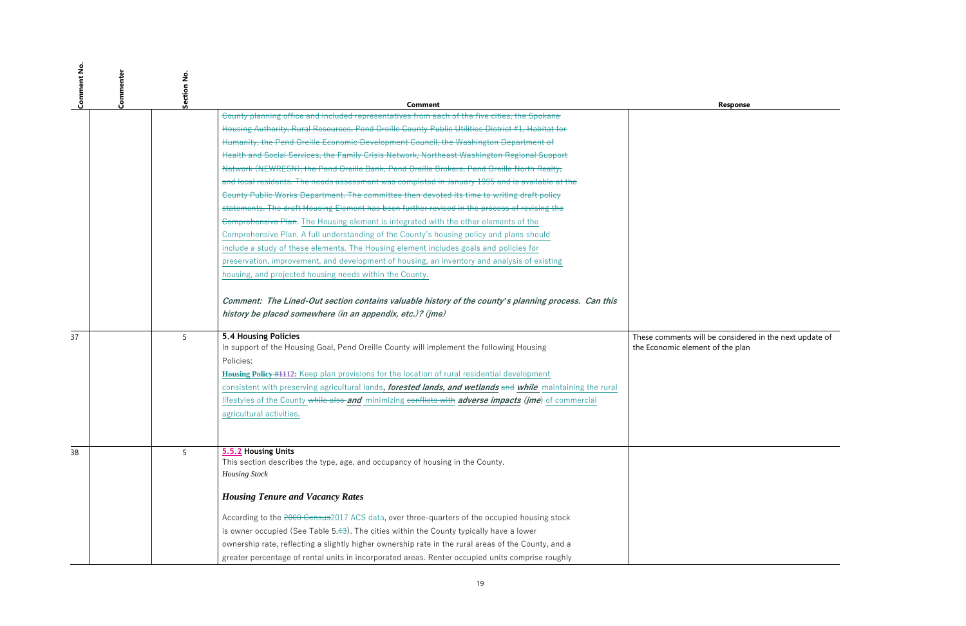| <b>Comment N</b> | Commenter<br>Section No. | Comment                                                                                                                                                                                                                                                                                                                                                                                                          | <b>Response</b>                                                      |
|------------------|--------------------------|------------------------------------------------------------------------------------------------------------------------------------------------------------------------------------------------------------------------------------------------------------------------------------------------------------------------------------------------------------------------------------------------------------------|----------------------------------------------------------------------|
|                  |                          | County planning office and included representatives from each of the five cities, the Spokane                                                                                                                                                                                                                                                                                                                    |                                                                      |
|                  |                          | Housing Authority, Rural Resources, Pend Oreille County Public Utilities District #1, Habitat for                                                                                                                                                                                                                                                                                                                |                                                                      |
|                  |                          | Humanity, the Pend Oreille Economic Development Council, the Washington Department of                                                                                                                                                                                                                                                                                                                            |                                                                      |
|                  |                          | Health and Social Services, the Family Crisis Network, Northeast Washington Regional Support                                                                                                                                                                                                                                                                                                                     |                                                                      |
|                  |                          | Network (NEWRESN), the Pend Oreille Bank, Pend Oreille Brokers, Pend Oreille North Realty,                                                                                                                                                                                                                                                                                                                       |                                                                      |
|                  |                          | and local residents. The needs assessment was completed in January 1995 and is available at the                                                                                                                                                                                                                                                                                                                  |                                                                      |
|                  |                          | County Public Works Department. The committee then devoted its time to writing draft policy                                                                                                                                                                                                                                                                                                                      |                                                                      |
|                  |                          | statements. The draft Housing Element has been further revised in the process of revising the                                                                                                                                                                                                                                                                                                                    |                                                                      |
|                  |                          | Comprehensive Plan. The Housing element is integrated with the other elements of the                                                                                                                                                                                                                                                                                                                             |                                                                      |
|                  |                          | Comprehensive Plan. A full understanding of the County's housing policy and plans should                                                                                                                                                                                                                                                                                                                         |                                                                      |
|                  |                          | include a study of these elements. The Housing element includes goals and policies for                                                                                                                                                                                                                                                                                                                           |                                                                      |
|                  |                          | preservation, improvement, and development of housing, an inventory and analysis of existing                                                                                                                                                                                                                                                                                                                     |                                                                      |
|                  |                          | housing, and projected housing needs within the County.                                                                                                                                                                                                                                                                                                                                                          |                                                                      |
| 37               | 5                        | history be placed somewhere (in an appendix, etc.)? (jme)<br><b>5.4 Housing Policies</b><br>In support of the Housing Goal, Pend Oreille County will implement the following Housing<br>Policies:<br>Housing Policy #1112: Keep plan provisions for the location of rural residential development<br>consistent with preserving agricultural lands, forested lands, and wetlands and while maintaining the rural | These comments will be considere<br>the Economic element of the plan |
|                  |                          | lifestyles of the County while also and minimizing conflicts with adverse impacts (ime) of commercial<br>agricultural activities.                                                                                                                                                                                                                                                                                |                                                                      |
| 38               | 5                        | 5.5.2 Housing Units<br>This section describes the type, age, and occupancy of housing in the County.<br><b>Housing Stock</b>                                                                                                                                                                                                                                                                                     |                                                                      |
|                  |                          | <b>Housing Tenure and Vacancy Rates</b>                                                                                                                                                                                                                                                                                                                                                                          |                                                                      |
|                  |                          | According to the 2000 Census 2017 ACS data, over three-quarters of the occupied housing stock                                                                                                                                                                                                                                                                                                                    |                                                                      |
|                  |                          | is owner occupied (See Table $5.43$ ). The cities within the County typically have a lower                                                                                                                                                                                                                                                                                                                       |                                                                      |
|                  |                          | ownership rate, reflecting a slightly higher ownership rate in the rural areas of the County, and a                                                                                                                                                                                                                                                                                                              |                                                                      |
|                  |                          | greater percentage of rental units in incorporated areas. Renter occupied units comprise roughly                                                                                                                                                                                                                                                                                                                 |                                                                      |

These comments will be considered in the next update of